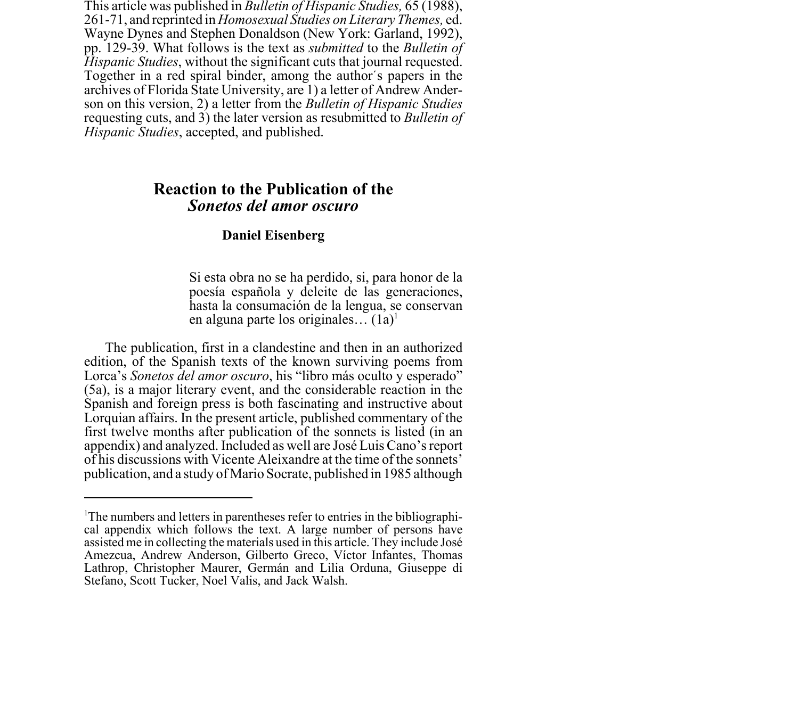This article was published in *Bulletin of Hispanic Studies,* 65 (1988), 261-71, and reprinted in *Homosexual Studies on Literary Themes,* ed. Wayne Dynes and Stephen Donaldson (New York: Garland, 1992), pp. 129-39. What follows is the text as *submitted* to the *Bulletin of Hispanic Studies*, without the significant cuts that journal requested. Together in a red spiral binder, among the author's papers in the archives of Florida State University, are 1) a letter of Andrew Anderson on this version, 2) a letter from the *Bulletin of Hispanic Studies* requesting cuts, and 3) the later version as resubmitted to *Bulletin of Hispanic Studies*, accepted, and published.

## **Reaction to the Publication of the** *Sonetos del amor oscuro*

## **Daniel Eisenberg**

Si esta obra no se ha perdido, si, para honor de la poesía española y deleite de las generaciones, hasta la consumación de la lengua, se conservan en alguna parte los originales...  $(1a)^{1}$ 

The publication, first in a clandestine and then in an authorized edition, of the Spanish texts of the known surviving poems from Lorca's *Sonetos del amor oscuro*, his "libro más oculto y esperado" (5a), is a major literary event, and the considerable reaction in the Spanish and foreign press is both fascinating and instructive about Lorquian affairs. In the present article, published commentary of the first twelve months after publication of the sonnets is listed (in an appendix) and analyzed. Included as well are José Luis Cano's report of his discussions with Vicente Aleixandre at the time of the sonnets' publication, and a study of Mario Socrate, published in 1985 although

<sup>&</sup>lt;sup>1</sup>The numbers and letters in parentheses refer to entries in the bibliographical appendix which follows the text. A large number of persons have assisted me in collecting the materials used in this article. They include José Amezcua, Andrew Anderson, Gilberto Greco, Víctor Infantes, Thomas Lathrop, Christopher Maurer, Germán and Lilia Orduna, Giuseppe di Stefano, Scott Tucker, Noel Valis, and Jack Walsh.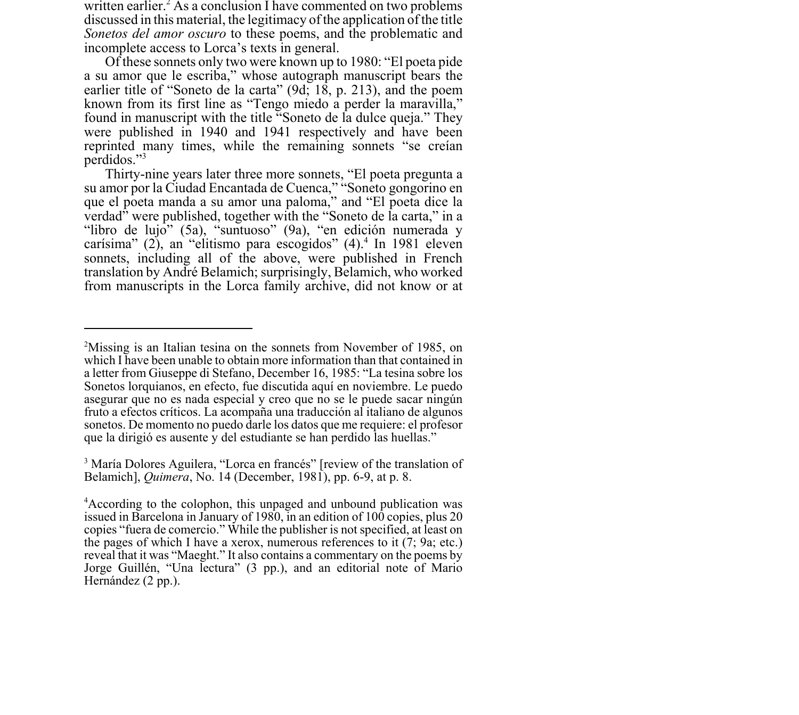written earlier.<sup>2</sup> As a conclusion I have commented on two problems discussed in this material, the legitimacy of the application of the title *Sonetos del amor oscuro* to these poems, and the problematic and incomplete access to Lorca's texts in general.

Of these sonnets only two were known up to 1980: "El poeta pide a su amor que le escriba," whose autograph manuscript bears the earlier title of "Soneto de la carta" (9d; 18, p. 213), and the poem known from its first line as "Tengo miedo a perder la maravilla," found in manuscript with the title "Soneto de la dulce queja." They were published in 1940 and 1941 respectively and have been reprinted many times, while the remaining sonnets "se creían perdidos."3

Thirty-nine years later three more sonnets, "El poeta pregunta a su amor por la Ciudad Encantada de Cuenca," "Soneto gongorino en que el poeta manda a su amor una paloma," and "El poeta dice la verdad" were published, together with the "Soneto de la carta," in a "libro de lujo" (5a), "suntuoso" (9a), "en edición numerada y carísima" (2), an "elitismo para escogidos" (4).<sup>4</sup> In 1981 eleven sonnets, including all of the above, were published in French translation by André Belamich; surprisingly, Belamich, who worked from manuscripts in the Lorca family archive, did not know or at

<sup>&</sup>lt;sup>2</sup>Missing is an Italian tesina on the sonnets from November of 1985, on which I have been unable to obtain more information than that contained in a letter from Giuseppe di Stefano, December 16, 1985: "La tesina sobre los Sonetos lorquianos, en efecto, fue discutida aquí en noviembre. Le puedo asegurar que no es nada especial y creo que no se le puede sacar ningún fruto a efectos críticos. La acompaña una traducción al italiano de algunos sonetos. De momento no puedo darle los datos que me requiere: el profesor que la dirigió es ausente y del estudiante se han perdido las huellas."

<sup>&</sup>lt;sup>3</sup> María Dolores Aguilera, "Lorca en francés" [review of the translation of Belamich], *Quimera*, No. 14 (December, 1981), pp. 6-9, at p. 8.

<sup>4</sup> According to the colophon, this unpaged and unbound publication was issued in Barcelona in January of 1980, in an edition of 100 copies, plus 20 copies "fuera de comercio." While the publisher is not specified, at least on the pages of which I have a xerox, numerous references to it (7; 9a; etc.) reveal that it was "Maeght." It also contains a commentary on the poems by Jorge Guillén, "Una lectura" (3 pp.), and an editorial note of Mario Hernández (2 pp.).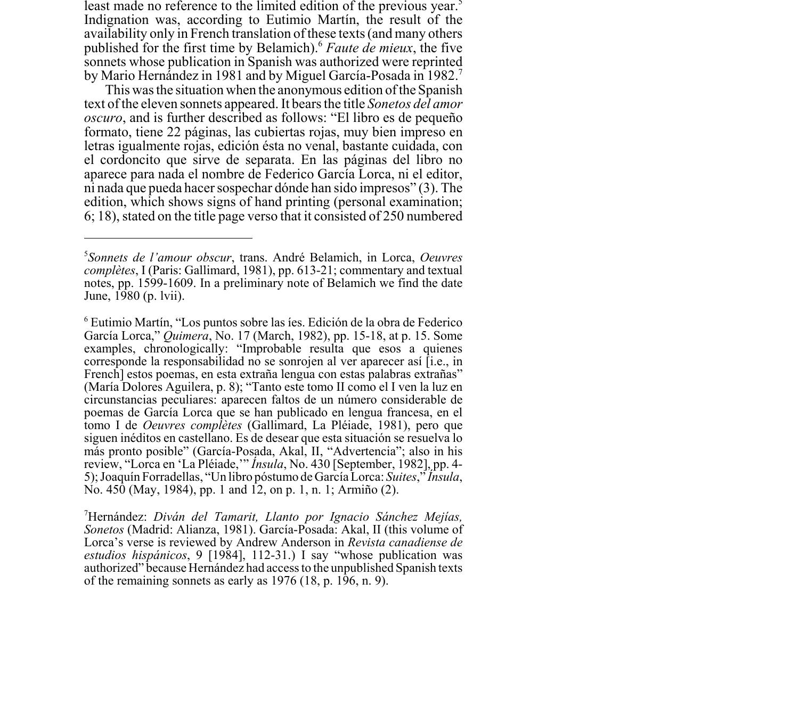least made no reference to the limited edition of the previous year.<sup>5</sup> Indignation was, according to Eutimio Martín, the result of the availability only in French translation of these texts (and many others published for the first time by Belamich).6 *Faute de mieux*, the five sonnets whose publication in Spanish was authorized were reprinted by Mario Hernández in 1981 and by Miguel García-Posada in 1982.7

This was the situation when the anonymous edition of the Spanish text of the eleven sonnets appeared. It bears the title *Sonetos del amor oscuro*, and is further described as follows: "El libro es de pequeño formato, tiene 22 páginas, las cubiertas rojas, muy bien impreso en letras igualmente rojas, edición ésta no venal, bastante cuidada, con el cordoncito que sirve de separata. En las páginas del libro no aparece para nada el nombre de Federico García Lorca, ni el editor, ni nada que pueda hacer sospechar dónde han sido impresos" (3). The edition, which shows signs of hand printing (personal examination; 6; 18), stated on the title page verso that it consisted of 250 numbered

<sup>5</sup> *Sonnets de l'amour obscur*, trans. André Belamich, in Lorca, *Oeuvres complètes*, I (Paris: Gallimard, 1981), pp. 613-21; commentary and textual notes, pp. 1599-1609. In a preliminary note of Belamich we find the date June, 1980 (p. lvii).

<sup>6</sup> Eutimio Martín, "Los puntos sobre las íes. Edición de la obra de Federico García Lorca," *Quimera*, No. 17 (March, 1982), pp. 15-18, at p. 15. Some examples, chronologically: "Improbable resulta que esos a quienes corresponde la responsabilidad no se sonrojen al ver aparecer así [i.e., in French] estos poemas, en esta extraña lengua con estas palabras extrañas" (María Dolores Aguilera, p. 8); "Tanto este tomo II como el I ven la luz en circunstancias peculiares: aparecen faltos de un número considerable de poemas de García Lorca que se han publicado en lengua francesa, en el tomo I de *Oeuvres complètes* (Gallimard, La Pléiade, 1981), pero que siguen inéditos en castellano. Es de desear que esta situación se resuelva lo más pronto posible" (García-Posada, Akal, II, "Advertencia"; also in his review, "Lorca en 'La Pléiade,'" *Ínsula*, No. 430 [September, 1982], pp. 4- 5); Joaquín Forradellas, "Un libro póstumo de García Lorca: *Suites*," *Ínsula*, No. 450 (May, 1984), pp. 1 and 12, on p. 1, n. 1; Armiño (2).

<sup>7</sup> Hernández: *Diván del Tamarit, Llanto por Ignacio Sánchez Mejías, Sonetos* (Madrid: Alianza, 1981). García-Posada: Akal, II (this volume of Lorca's verse is reviewed by Andrew Anderson in *Revista canadiense de estudios hispánicos*, 9 [1984], 112-31.) I say "whose publication was authorized" because Hernández had access to the unpublished Spanish texts of the remaining sonnets as early as 1976 (18, p. 196, n. 9).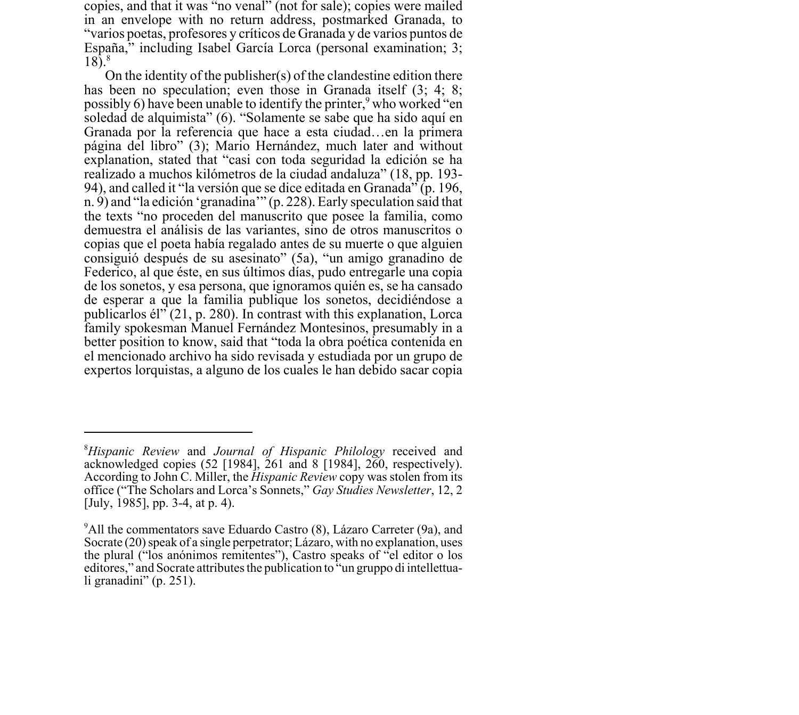copies, and that it was "no venal" (not for sale); copies were mailed in an envelope with no return address, postmarked Granada, to "varios poetas, profesores y críticos de Granada y de varios puntos de España," including Isabel García Lorca (personal examination; 3;  $18)$ <sup>8</sup>

On the identity of the publisher(s) of the clandestine edition there has been no speculation; even those in Granada itself  $(3; 4; 8;$ possibly 6) have been unable to identify the printer,<sup>9</sup> who worked "en soledad de alquimista" (6). "Solamente se sabe que ha sido aquí en Granada por la referencia que hace a esta ciudad…en la primera página del libro" (3); Mario Hernández, much later and without explanation, stated that "casi con toda seguridad la edición se ha realizado a muchos kilómetros de la ciudad andaluza" (18, pp. 193- 94), and called it "la versión que se dice editada en Granada" (p. 196, n. 9) and "la edición 'granadina'" (p. 228). Early speculation said that the texts "no proceden del manuscrito que posee la familia, como demuestra el análisis de las variantes, sino de otros manuscritos o copias que el poeta había regalado antes de su muerte o que alguien consiguió después de su asesinato" (5a), "un amigo granadino de Federico, al que éste, en sus últimos días, pudo entregarle una copia de los sonetos, y esa persona, que ignoramos quién es, se ha cansado de esperar a que la familia publique los sonetos, decidiéndose a publicarlos él" (21, p. 280). In contrast with this explanation, Lorca family spokesman Manuel Fernández Montesinos, presumably in a better position to know, said that "toda la obra poética contenida en el mencionado archivo ha sido revisada y estudiada por un grupo de expertos lorquistas, a alguno de los cuales le han debido sacar copia

<sup>8</sup> *Hispanic Review* and *Journal of Hispanic Philology* received and acknowledged copies (52 [1984], 261 and 8 [1984], 260, respectively). According to John C. Miller, the *Hispanic Review* copy was stolen from its office ("The Scholars and Lorca's Sonnets," *Gay Studies Newsletter*, 12, 2 [July, 1985], pp. 3-4, at p. 4).

<sup>&</sup>lt;sup>9</sup>All the commentators save Eduardo Castro (8), Lázaro Carreter (9a), and Socrate (20) speak of a single perpetrator; Lázaro, with no explanation, uses the plural ("los anónimos remitentes"), Castro speaks of "el editor o los editores," and Socrate attributes the publication to <sup>"c</sup>un gruppo di intellettuali granadini" (p. 251).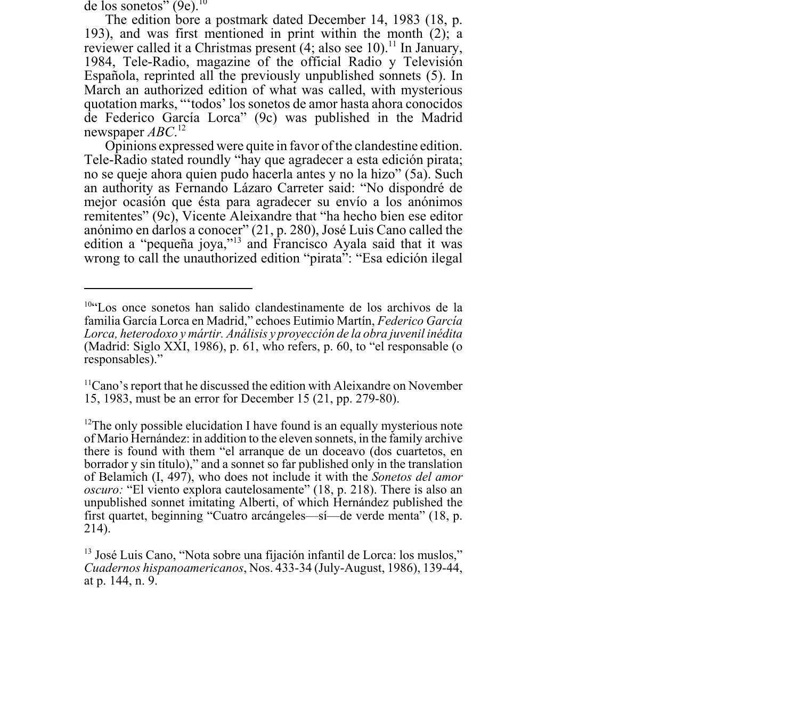de los sonetos"  $(9e)^{10}$ 

The edition bore a postmark dated December 14, 1983 (18, p. 193), and was first mentioned in print within the month (2); a reviewer called it a Christmas present  $(4;$  also see 10).<sup>11</sup> In January, 1984, Tele-Radio, magazine of the official Radio y Televisión Española, reprinted all the previously unpublished sonnets (5). In March an authorized edition of what was called, with mysterious quotation marks, "'todos' los sonetos de amor hasta ahora conocidos de Federico García Lorca" (9c) was published in the Madrid newspaper *ABC*. 12

Opinions expressed were quite in favor of the clandestine edition. Tele-Radio stated roundly "hay que agradecer a esta edición pirata; no se queje ahora quien pudo hacerla antes y no la hizo" (5a). Such an authority as Fernando Lázaro Carreter said: "No dispondré de mejor ocasión que ésta para agradecer su envío a los anónimos remitentes" (9c), Vicente Aleixandre that "ha hecho bien ese editor anónimo en darlos a conocer" (21, p. 280), José Luis Cano called the edition a "pequeña joya,"13 and Francisco Ayala said that it was wrong to call the unauthorized edition "pirata": "Esa edición ilegal

<sup>10&</sup>quot;Los once sonetos han salido clandestinamente de los archivos de la familia García Lorca en Madrid," echoes Eutimio Martín, *Federico García Lorca, heterodoxo y mártir. Análisis y proyección de la obra juvenil inédita* (Madrid: Siglo XXI, 1986), p. 61, who refers, p. 60, to "el responsable (o responsables)."

<sup>&</sup>lt;sup>11</sup>Cano's report that he discussed the edition with Aleixandre on November 15, 1983, must be an error for December 15 (21, pp. 279-80).

 $12$ The only possible elucidation I have found is an equally mysterious note of Mario Hernández: in addition to the eleven sonnets, in the family archive there is found with them "el arranque de un doceavo (dos cuartetos, en borrador y sin título)," and a sonnet so far published only in the translation of Belamich (I, 497), who does not include it with the *Sonetos del amor oscuro:* "El viento explora cautelosamente" (18, p. 218). There is also an unpublished sonnet imitating Alberti, of which Hernández published the first quartet, beginning "Cuatro arcángeles—sí—de verde menta" (18, p. 214).

<sup>13</sup> José Luis Cano, "Nota sobre una fijación infantil de Lorca: los muslos," *Cuadernos hispanoamericanos*, Nos. 433-34 (July-August, 1986), 139-44, at p. 144, n. 9.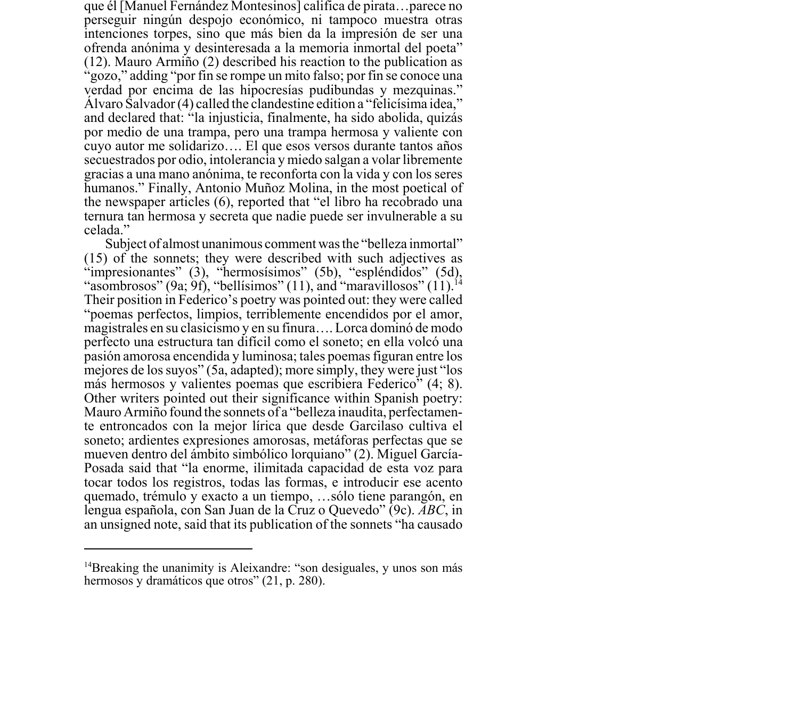que él [Manuel Fernández Montesinos] califica de pirata…parece no perseguir ningún despojo económico, ni tampoco muestra otras intenciones torpes, sino que más bien da la impresión de ser una ofrenda anónima y desinteresada a la memoria inmortal del poeta" (12). Mauro Armiño (2) described his reaction to the publication as "gozo," adding "por fin se rompe un mito falso; por fin se conoce una verdad por encima de las hipocresías pudibundas y mezquinas." Álvaro Salvador (4) called the clandestine edition a "felicísima idea," and declared that: "la injusticia, finalmente, ha sido abolida, quizás por medio de una trampa, pero una trampa hermosa y valiente con cuyo autor me solidarizo…. El que esos versos durante tantos años secuestrados por odio, intolerancia y miedo salgan a volar libremente gracias a una mano anónima, te reconforta con la vida y con los seres humanos." Finally, Antonio Muñoz Molina, in the most poetical of the newspaper articles (6), reported that "el libro ha recobrado una ternura tan hermosa y secreta que nadie puede ser invulnerable a su celada."

Subject of almost unanimous comment was the "belleza inmortal" (15) of the sonnets; they were described with such adjectives as "impresionantes" (3), "hermosísimos" (5b), "espléndidos" (5d), "asombrosos" (9a; 9f), "bellísimos" (11), and "maravillosos" (11).<sup>1</sup> Their position in Federico's poetry was pointed out: they were called "poemas perfectos, limpios, terriblemente encendidos por el amor, magistrales en su clasicismo y en su finura…. Lorca dominó de modo perfecto una estructura tan difícil como el soneto; en ella volcó una pasión amorosa encendida y luminosa; tales poemas figuran entre los mejores de los suyos" (5a, adapted); more simply, they were just "los más hermosos y valientes poemas que escribiera Federico" (4; 8). Other writers pointed out their significance within Spanish poetry: Mauro Armiño found the sonnets of a "belleza inaudita, perfectamente entroncados con la mejor lírica que desde Garcilaso cultiva el soneto; ardientes expresiones amorosas, metáforas perfectas que se mueven dentro del ámbito simbólico lorquiano" (2). Miguel García-Posada said that "la enorme, ilimitada capacidad de esta voz para tocar todos los registros, todas las formas, e introducir ese acento quemado, trémulo y exacto a un tiempo, …sólo tiene parangón, en lengua española, con San Juan de la Cruz o Quevedo" (9c). *ABC*, in an unsigned note, said that its publication of the sonnets "ha causado

<sup>&</sup>lt;sup>14</sup>Breaking the unanimity is Aleixandre: "son desiguales, y unos son más hermosos y dramáticos que otros" (21, p. 280).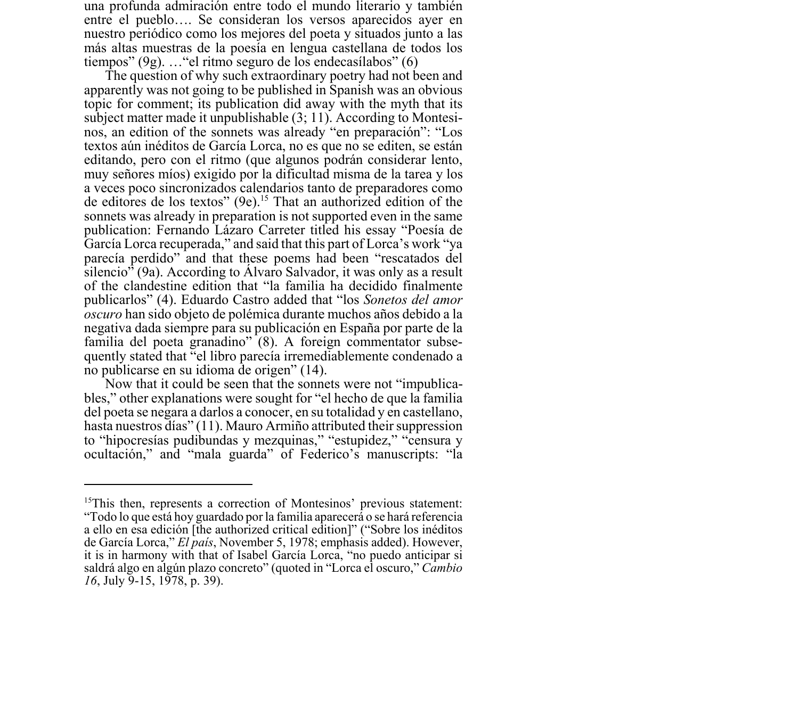una profunda admiración entre todo el mundo literario y también entre el pueblo…. Se consideran los versos aparecidos ayer en nuestro periódico como los mejores del poeta y situados junto a las más altas muestras de la poesía en lengua castellana de todos los tiempos" (9g). …"el ritmo seguro de los endecasílabos" (6)

The question of why such extraordinary poetry had not been and apparently was not going to be published in Spanish was an obvious topic for comment; its publication did away with the myth that its subject matter made it unpublishable (3; 11). According to Montesinos, an edition of the sonnets was already "en preparación": "Los textos aún inéditos de García Lorca, no es que no se editen, se están editando, pero con el ritmo (que algunos podrán considerar lento, muy señores míos) exigido por la dificultad misma de la tarea y los a veces poco sincronizados calendarios tanto de preparadores como de editores de los textos" (9e).15 That an authorized edition of the sonnets was already in preparation is not supported even in the same publication: Fernando Lázaro Carreter titled his essay "Poesía de García Lorca recuperada," and said that this part of Lorca's work "ya parecía perdido" and that these poems had been "rescatados del silencio" (9a). According to Álvaro Salvador, it was only as a result of the clandestine edition that "la familia ha decidido finalmente publicarlos" (4). Eduardo Castro added that "los *Sonetos del amor oscuro* han sido objeto de polémica durante muchos años debido a la negativa dada siempre para su publicación en España por parte de la familia del poeta granadino" (8). A foreign commentator subsequently stated that "el libro parecía irremediablemente condenado a no publicarse en su idioma de origen" (14).

Now that it could be seen that the sonnets were not "impublicables," other explanations were sought for "el hecho de que la familia del poeta se negara a darlos a conocer, en su totalidad y en castellano, hasta nuestros días" (11). Mauro Armiño attributed their suppression to "hipocresías pudibundas y mezquinas," "estupidez," "censura y ocultación," and "mala guarda" of Federico's manuscripts: "la

<sup>&</sup>lt;sup>15</sup>This then, represents a correction of Montesinos' previous statement: "Todo lo que está hoy guardado por la familia aparecerá o se hará referencia a ello en esa edición [the authorized critical edition]" ("Sobre los inéditos de García Lorca," *El país*, November 5, 1978; emphasis added). However, it is in harmony with that of Isabel García Lorca, "no puedo anticipar si saldrá algo en algún plazo concreto" (quoted in "Lorca el oscuro," *Cambio 16*, July 9-15, 1978, p. 39).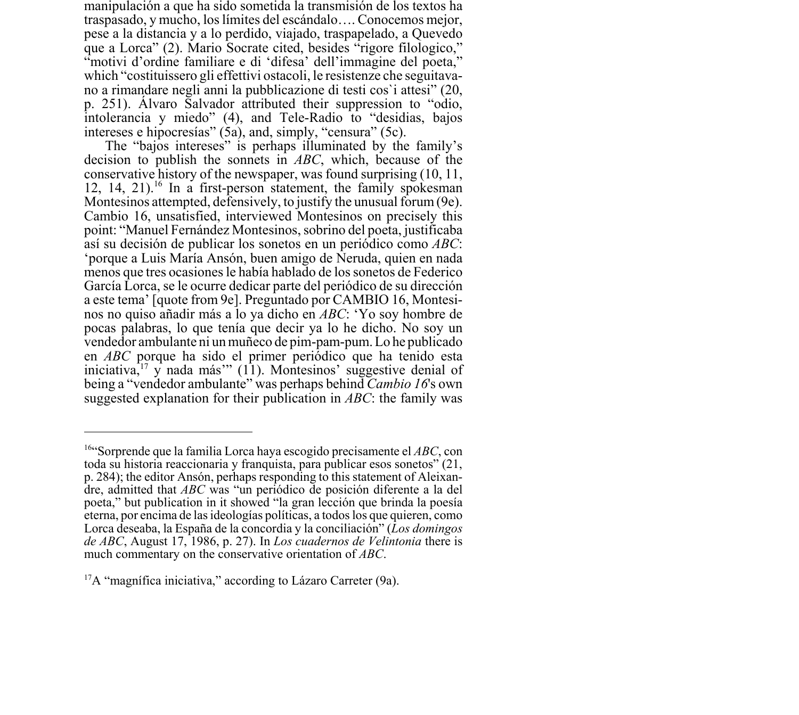manipulación a que ha sido sometida la transmisión de los textos ha traspasado, y mucho, los límites del escándalo…. Conocemos mejor, pese a la distancia y a lo perdido, viajado, traspapelado, a Quevedo que a Lorca" (2). Mario Socrate cited, besides "rigore filologico," "motivi d'ordine familiare e di 'difesa' dell'immagine del poeta," which "costituissero gli effettivi ostacoli, le resistenze che seguitavano a rimandare negli anni la pubblicazione di testi cos`i attesi" (20, p. 251). Álvaro Salvador attributed their suppression to "odio, intolerancia y miedo" (4), and Tele-Radio to "desidias, bajos intereses e hipocresías" (5a), and, simply, "censura" (5c).

The "bajos intereses" is perhaps illuminated by the family's decision to publish the sonnets in *ABC*, which, because of the conservative history of the newspaper, was found surprising (10, 11, 12, 14, 21).<sup>16</sup> In a first-person statement, the family spokesman Montesinos attempted, defensively, to justify the unusual forum (9e). Cambio 16, unsatisfied, interviewed Montesinos on precisely this point: "Manuel Fernández Montesinos, sobrino del poeta, justificaba así su decisión de publicar los sonetos en un periódico como *ABC*: 'porque a Luis María Ansón, buen amigo de Neruda, quien en nada menos que tres ocasiones le había hablado de los sonetos de Federico García Lorca, se le ocurre dedicar parte del periódico de su dirección a este tema' [quote from 9e]. Preguntado por CAMBIO 16, Montesinos no quiso añadir más a lo ya dicho en *ABC*: 'Yo soy hombre de pocas palabras, lo que tenía que decir ya lo he dicho. No soy un vendedor ambulante ni un muñeco de pim-pam-pum. Lo he publicado en *ABC* porque ha sido el primer periódico que ha tenido esta iniciativa, $17 \text{ y}$  nada más'" (11). Montesinos' suggestive denial of being a "vendedor ambulante" was perhaps behind *Cambio 16*'s own suggested explanation for their publication in *ABC*: the family was

<sup>16&</sup>quot;Sorprende que la familia Lorca haya escogido precisamente el *ABC*, con toda su historia reaccionaria y franquista, para publicar esos sonetos" (21, p. 284); the editor Ansón, perhaps responding to this statement of Aleixandre, admitted that *ABC* was "un periódico de posición diferente a la del poeta," but publication in it showed "la gran lección que brinda la poesía eterna, por encima de las ideologías políticas, a todos los que quieren, como Lorca deseaba, la España de la concordia y la conciliación" (*Los domingos de ABC*, August 17, 1986, p. 27). In *Los cuadernos de Velintonia* there is much commentary on the conservative orientation of *ABC*.

 $17A$  "magnifica iniciativa," according to Lázaro Carreter (9a).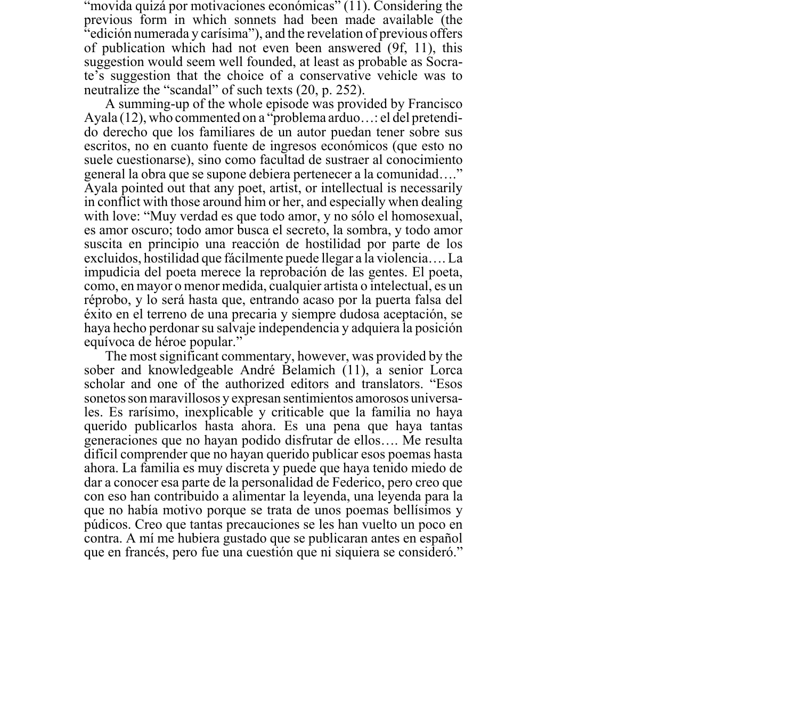"movida quizá por motivaciones económicas" (11). Considering the previous form in which sonnets had been made available (the "edición numerada y carísima"), and the revelation of previous offers of publication which had not even been answered (9f, 11), this suggestion would seem well founded, at least as probable as Socrate's suggestion that the choice of a conservative vehicle was to neutralize the "scandal" of such texts (20, p. 252).

A summing-up of the whole episode was provided by Francisco Ayala (12), who commented on a "problema arduo…: el del pretendido derecho que los familiares de un autor puedan tener sobre sus escritos, no en cuanto fuente de ingresos económicos (que esto no suele cuestionarse), sino como facultad de sustraer al conocimiento general la obra que se supone debiera pertenecer a la comunidad…." Ayala pointed out that any poet, artist, or intellectual is necessarily in conflict with those around him or her, and especially when dealing with love: "Muy verdad es que todo amor, y no sólo el homosexual, es amor oscuro; todo amor busca el secreto, la sombra, y todo amor suscita en principio una reacción de hostilidad por parte de los excluidos, hostilidad que fácilmente puede llegar a la violencia…. La impudicia del poeta merece la reprobación de las gentes. El poeta, como, en mayor o menor medida, cualquier artista o intelectual, es un réprobo, y lo será hasta que, entrando acaso por la puerta falsa del éxito en el terreno de una precaria y siempre dudosa aceptación, se haya hecho perdonar su salvaje independencia y adquiera la posición equívoca de héroe popular."

The most significant commentary, however, was provided by the sober and knowledgeable André Belamich (11), a senior Lorca scholar and one of the authorized editors and translators. "Esos sonetos son maravillosos y expresan sentimientos amorosos universales. Es rarísimo, inexplicable y criticable que la familia no haya querido publicarlos hasta ahora. Es una pena que haya tantas generaciones que no hayan podido disfrutar de ellos…. Me resulta difícil comprender que no hayan querido publicar esos poemas hasta ahora. La familia es muy discreta y puede que haya tenido miedo de dar a conocer esa parte de la personalidad de Federico, pero creo que con eso han contribuido a alimentar la leyenda, una leyenda para la que no había motivo porque se trata de unos poemas bellísimos y púdicos. Creo que tantas precauciones se les han vuelto un poco en contra. A mí me hubiera gustado que se publicaran antes en español que en francés, pero fue una cuestión que ni siquiera se consideró."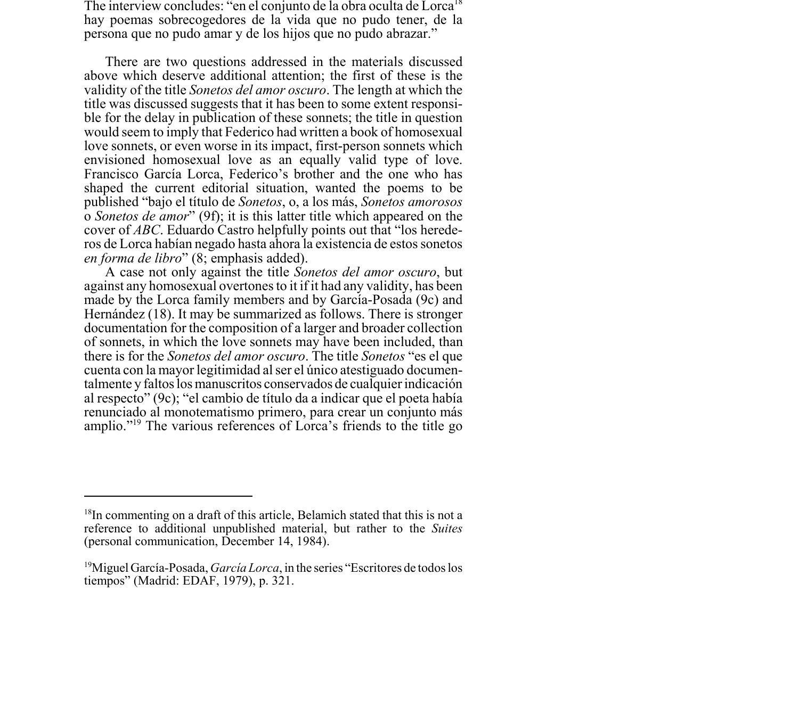The interview concludes: "en el conjunto de la obra oculta de Lorca<sup>18</sup> hay poemas sobrecogedores de la vida que no pudo tener, de la persona que no pudo amar y de los hijos que no pudo abrazar."

There are two questions addressed in the materials discussed above which deserve additional attention; the first of these is the validity of the title *Sonetos del amor oscuro*. The length at which the title was discussed suggests that it has been to some extent responsible for the delay in publication of these sonnets; the title in question would seem to imply that Federico had written a book of homosexual love sonnets, or even worse in its impact, first-person sonnets which envisioned homosexual love as an equally valid type of love. Francisco García Lorca, Federico's brother and the one who has shaped the current editorial situation, wanted the poems to be published "bajo el título de *Sonetos*, o, a los más, *Sonetos amorosos* o *Sonetos de amor*" (9f); it is this latter title which appeared on the cover of *ABC*. Eduardo Castro helpfully points out that "los herederos de Lorca habían negado hasta ahora la existencia de estos sonetos *en forma de libro*" (8; emphasis added).

A case not only against the title *Sonetos del amor oscuro*, but against any homosexual overtones to it if it had any validity, has been made by the Lorca family members and by García-Posada (9c) and Hernández (18). It may be summarized as follows. There is stronger documentation for the composition of a larger and broader collection of sonnets, in which the love sonnets may have been included, than there is for the *Sonetos del amor oscuro*. The title *Sonetos* "es el que cuenta con la mayor legitimidad al ser el único atestiguado documentalmente y faltos los manuscritos conservados de cualquier indicación al respecto" (9c); "el cambio de título da a indicar que el poeta había renunciado al monotematismo primero, para crear un conjunto más amplio."19 The various references of Lorca's friends to the title go

 $18$ In commenting on a draft of this article, Belamich stated that this is not a reference to additional unpublished material, but rather to the *Suites* (personal communication, December 14, 1984).

<sup>19</sup>Miguel García-Posada, *García Lorca*, in the series "Escritores de todos los tiempos" (Madrid: EDAF, 1979), p. 321.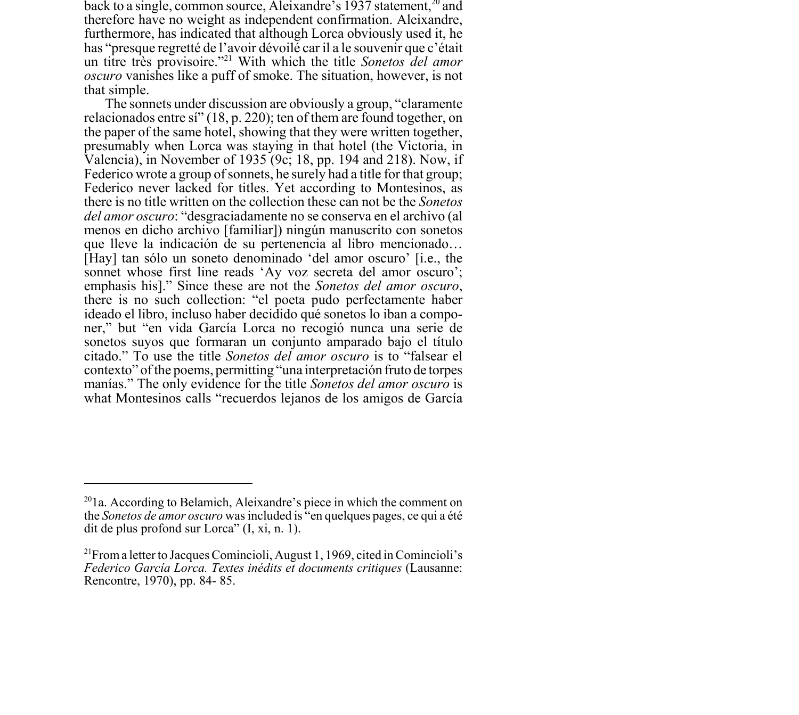back to a single, common source, Aleixandre's 1937 statement,  $20$  and therefore have no weight as independent confirmation. Aleixandre, furthermore, has indicated that although Lorca obviously used it, he has "presque regretté de l'avoir dévoilé car il a le souvenir que c'était un titre très provisoire."21 With which the title *Sonetos del amor oscuro* vanishes like a puff of smoke. The situation, however, is not that simple.

The sonnets under discussion are obviously a group, "claramente relacionados entre sí" (18, p. 220); ten of them are found together, on the paper of the same hotel, showing that they were written together, presumably when Lorca was staying in that hotel (the Victoria, in Valencia), in November of 1935 (9c; 18, pp. 194 and 218). Now, if Federico wrote a group of sonnets, he surely had a title for that group; Federico never lacked for titles. Yet according to Montesinos, as there is no title written on the collection these can not be the *Sonetos del amor oscuro*: "desgraciadamente no se conserva en el archivo (al menos en dicho archivo [familiar]) ningún manuscrito con sonetos que lleve la indicación de su pertenencia al libro mencionado… [Hay] tan sólo un soneto denominado 'del amor oscuro' [i.e., the sonnet whose first line reads 'Ay voz secreta del amor oscuro'; emphasis his]." Since these are not the *Sonetos del amor oscuro*, there is no such collection: "el poeta pudo perfectamente haber ideado el libro, incluso haber decidido qué sonetos lo iban a componer," but "en vida García Lorca no recogió nunca una serie de sonetos suyos que formaran un conjunto amparado bajo el título citado." To use the title *Sonetos del amor oscuro* is to "falsear el contexto" of the poems, permitting "una interpretación fruto de torpes manías." The only evidence for the title *Sonetos del amor oscuro* is what Montesinos calls "recuerdos lejanos de los amigos de García

 $201a$ . According to Belamich, Aleixandre's piece in which the comment on the *Sonetos de amor oscuro* was included is "en quelques pages, ce qui a été dit de plus profond sur Lorca" (I, xi, n. 1).

<sup>&</sup>lt;sup>21</sup>From a letter to Jacques Comincioli, August 1, 1969, cited in Comincioli's *Federico García Lorca. Textes inédits et documents critiques* (Lausanne: Rencontre, 1970), pp. 84- 85.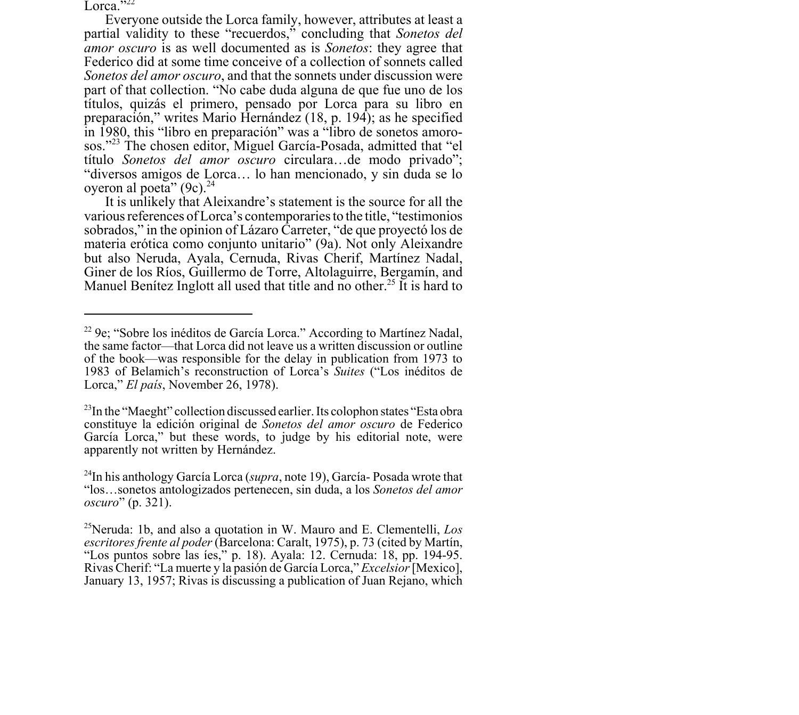Lorca." $^{222}$ 

Everyone outside the Lorca family, however, attributes at least a partial validity to these "recuerdos," concluding that *Sonetos del amor oscuro* is as well documented as is *Sonetos*: they agree that Federico did at some time conceive of a collection of sonnets called *Sonetos del amor oscuro*, and that the sonnets under discussion were part of that collection. "No cabe duda alguna de que fue uno de los títulos, quizás el primero, pensado por Lorca para su libro en preparación," writes Mario Hernández (18, p. 194); as he specified in 1980, this "libro en preparación" was a "libro de sonetos amorosos."23 The chosen editor, Miguel García-Posada, admitted that "el título *Sonetos del amor oscuro* circulara…de modo privado"; "diversos amigos de Lorca… lo han mencionado, y sin duda se lo oyeron al poeta"  $(9c)^{24}$ 

It is unlikely that Aleixandre's statement is the source for all the various references of Lorca's contemporaries to the title, "testimonios sobrados," in the opinion of Lázaro Carreter, "de que proyectó los de materia erótica como conjunto unitario" (9a). Not only Aleixandre but also Neruda, Ayala, Cernuda, Rivas Cherif, Martínez Nadal, Giner de los Ríos, Guillermo de Torre, Altolaguirre, Bergamín, and Manuel Benítez Inglott all used that title and no other.<sup>25</sup> It is hard to

<sup>22 9</sup>e; "Sobre los inéditos de García Lorca." According to Martínez Nadal, the same factor—that Lorca did not leave us a written discussion or outline of the book—was responsible for the delay in publication from 1973 to 1983 of Belamich's reconstruction of Lorca's *Suites* ("Los inéditos de Lorca," *El país*, November 26, 1978).

 $^{23}$ In the "Maeght" collection discussed earlier. Its colophon states "Esta obra constituye la edición original de *Sonetos del amor oscuro* de Federico García Lorca," but these words, to judge by his editorial note, were apparently not written by Hernández.

<sup>24</sup>In his anthology García Lorca (*supra*, note 19), García- Posada wrote that "los…sonetos antologizados pertenecen, sin duda, a los *Sonetos del amor oscuro*" (p. 321).

<sup>25</sup>Neruda: 1b, and also a quotation in W. Mauro and E. Clementelli, *Los escritores frente al poder* (Barcelona: Caralt, 1975), p. 73 (cited by Martín, "Los puntos sobre las íes," p. 18). Ayala: 12. Cernuda: 18, pp. 194-95. Rivas Cherif: "La muerte y la pasión de García Lorca," *Excelsior* [Mexico], January 13, 1957; Rivas is discussing a publication of Juan Rejano, which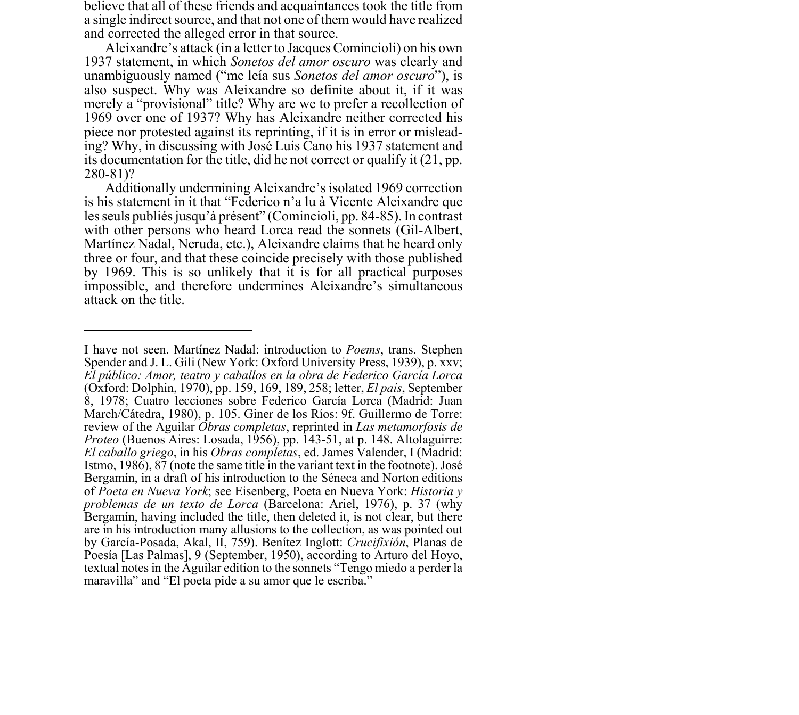believe that all of these friends and acquaintances took the title from a single indirect source, and that not one of them would have realized and corrected the alleged error in that source.

Aleixandre's attack (in a letter to Jacques Comincioli) on his own 1937 statement, in which *Sonetos del amor oscuro* was clearly and unambiguously named ("me leía sus *Sonetos del amor oscuro*"), is also suspect. Why was Aleixandre so definite about it, if it was merely a "provisional" title? Why are we to prefer a recollection of 1969 over one of 1937? Why has Aleixandre neither corrected his piece nor protested against its reprinting, if it is in error or misleading? Why, in discussing with José Luis Cano his 1937 statement and its documentation for the title, did he not correct or qualify it (21, pp. 280-81)?

Additionally undermining Aleixandre's isolated 1969 correction is his statement in it that "Federico n'a lu à Vicente Aleixandre que les seuls publiés jusqu'à présent" (Comincioli, pp. 84-85). In contrast with other persons who heard Lorca read the sonnets (Gil-Albert, Martínez Nadal, Neruda, etc.), Aleixandre claims that he heard only three or four, and that these coincide precisely with those published by 1969. This is so unlikely that it is for all practical purposes impossible, and therefore undermines Aleixandre's simultaneous attack on the title.

I have not seen. Martínez Nadal: introduction to *Poems*, trans. Stephen Spender and J. L. Gili (New York: Oxford University Press, 1939), p. xxv; *El público: Amor, teatro y caballos en la obra de Federico García Lorca* (Oxford: Dolphin, 1970), pp. 159, 169, 189, 258; letter, *El país*, September 8, 1978; Cuatro lecciones sobre Federico García Lorca (Madrid: Juan March/Cátedra, 1980), p. 105. Giner de los Ríos: 9f. Guillermo de Torre: review of the Aguilar *Obras completas*, reprinted in *Las metamorfosis de Proteo* (Buenos Aires: Losada, 1956), pp. 143-51, at p. 148. Altolaguirre: *El caballo griego*, in his *Obras completas*, ed. James Valender, I (Madrid: Istmo, 1986), 87 (note the same title in the variant text in the footnote). José Bergamín, in a draft of his introduction to the Séneca and Norton editions of *Poeta en Nueva York*; see Eisenberg, Poeta en Nueva York: *Historia y problemas de un texto de Lorca* (Barcelona: Ariel, 1976), p. 37 (why Bergamín, having included the title, then deleted it, is not clear, but there are in his introduction many allusions to the collection, as was pointed out by García-Posada, Akal, II, 759). Benítez Inglott: *Crucifixión*, Planas de Poesía [Las Palmas], 9 (September, 1950), according to Arturo del Hoyo, textual notes in the Aguilar edition to the sonnets "Tengo miedo a perder la maravilla" and "El poeta pide a su amor que le escriba."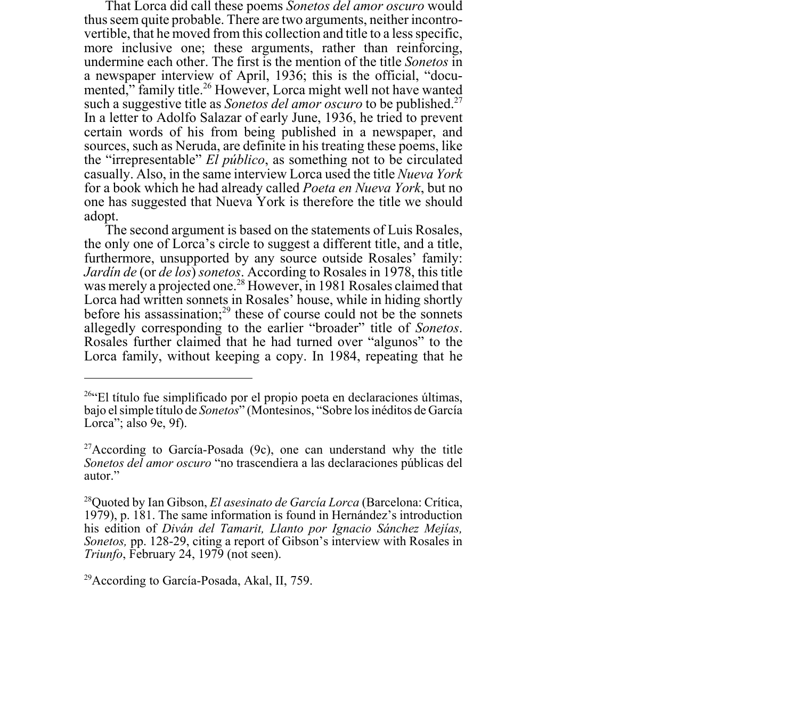That Lorca did call these poems *Sonetos del amor oscuro* would thus seem quite probable. There are two arguments, neither incontrovertible, that he moved from this collection and title to a less specific, more inclusive one; these arguments, rather than reinforcing, undermine each other. The first is the mention of the title *Sonetos* in a newspaper interview of April, 1936; this is the official, "documented," family title.<sup>26</sup> However, Lorca might well not have wanted such a suggestive title as *Sonetos del amor oscuro* to be published.<sup>27</sup> In a letter to Adolfo Salazar of early June, 1936, he tried to prevent certain words of his from being published in a newspaper, and sources, such as Neruda, are definite in his treating these poems, like the "irrepresentable" *El público*, as something not to be circulated casually. Also, in the same interview Lorca used the title *Nueva York* for a book which he had already called *Poeta en Nueva York*, but no one has suggested that Nueva York is therefore the title we should adopt.

The second argument is based on the statements of Luis Rosales, the only one of Lorca's circle to suggest a different title, and a title, furthermore, unsupported by any source outside Rosales' family: *Jardín de* (or *de los*) *sonetos*. According to Rosales in 1978, this title was merely a projected one.<sup>28</sup> However, in 1981 Rosales claimed that Lorca had written sonnets in Rosales' house, while in hiding shortly before his assassination; $^{29}$  these of course could not be the sonnets allegedly corresponding to the earlier "broader" title of *Sonetos*. Rosales further claimed that he had turned over "algunos" to the Lorca family, without keeping a copy. In 1984, repeating that he

<sup>&</sup>lt;sup>26"</sup>El título fue simplificado por el propio poeta en declaraciones últimas, bajo el simple título de *Sonetos*" (Montesinos, "Sobre los inéditos de García Lorca"; also 9e, 9f).

 $27$ According to García-Posada (9c), one can understand why the title *Sonetos del amor oscuro* "no trascendiera a las declaraciones públicas del autor."

<sup>28</sup>Quoted by Ian Gibson, *El asesinato de García Lorca* (Barcelona: Crítica, 1979), p. 181. The same information is found in Hernández's introduction his edition of *Diván del Tamarit, Llanto por Ignacio Sánchez Mejías, Sonetos,* pp. 128-29, citing a report of Gibson's interview with Rosales in *Triunfo*, February 24, 1979 (not seen).

<sup>29</sup>According to García-Posada, Akal, II, 759.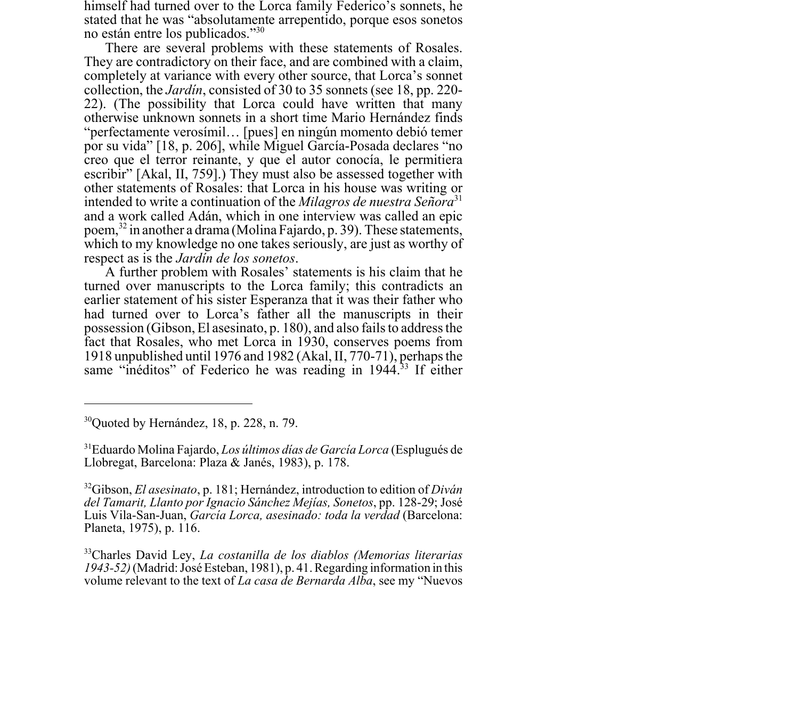himself had turned over to the Lorca family Federico's sonnets, he stated that he was "absolutamente arrepentido, porque esos sonetos no están entre los publicados."30

There are several problems with these statements of Rosales. They are contradictory on their face, and are combined with a claim, completely at variance with every other source, that Lorca's sonnet collection, the *Jardín*, consisted of 30 to 35 sonnets (see 18, pp. 220- 22). (The possibility that Lorca could have written that many otherwise unknown sonnets in a short time Mario Hernández finds "perfectamente verosímil… [pues] en ningún momento debió temer por su vida" [18, p. 206], while Miguel García-Posada declares "no creo que el terror reinante, y que el autor conocía, le permitiera escribir" [Akal, II, 759].) They must also be assessed together with other statements of Rosales: that Lorca in his house was writing or intended to write a continuation of the *Milagros de nuestra Señora*<sup>31</sup> and a work called Adán, which in one interview was called an epic poem,32 in another a drama (Molina Fajardo, p. 39). These statements, which to my knowledge no one takes seriously, are just as worthy of respect as is the *Jardín de los sonetos*.

A further problem with Rosales' statements is his claim that he turned over manuscripts to the Lorca family; this contradicts an earlier statement of his sister Esperanza that it was their father who had turned over to Lorca's father all the manuscripts in their possession (Gibson, El asesinato, p. 180), and also fails to address the fact that Rosales, who met Lorca in 1930, conserves poems from 1918 unpublished until 1976 and 1982 (Akal, II, 770-71), perhaps the same "inéditos" of Federico he was reading in 1944.<sup>33</sup> If either

 $30$ Quoted by Hernández, 18, p. 228, n. 79.

<sup>31</sup>Eduardo Molina Fajardo, *Los últimos días de García Lorca* (Esplugués de Llobregat, Barcelona: Plaza & Janés, 1983), p. 178.

<sup>32</sup>Gibson, *El asesinato*, p. 181; Hernández, introduction to edition of *Diván del Tamarit, Llanto por Ignacio Sánchez Mejías, Sonetos*, pp. 128-29; José Luis Vila-San-Juan, *García Lorca, asesinado: toda la verdad* (Barcelona: Planeta, 1975), p. 116.

<sup>33</sup>Charles David Ley, *La costanilla de los diablos (Memorias literarias 1943-52)* (Madrid: José Esteban, 1981), p. 41. Regarding information in this volume relevant to the text of *La casa de Bernarda Alba*, see my "Nuevos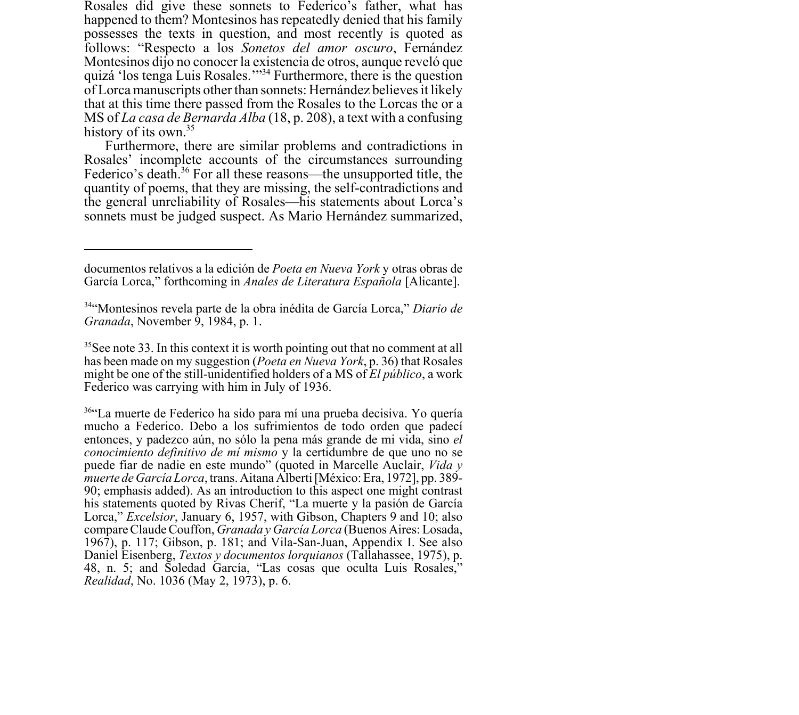Rosales did give these sonnets to Federico's father, what has happened to them? Montesinos has repeatedly denied that his family possesses the texts in question, and most recently is quoted as follows: "Respecto a los *Sonetos del amor oscuro*, Fernández Montesinos dijo no conocer la existencia de otros, aunque reveló que quizá 'los tenga Luis Rosales.'"34 Furthermore, there is the question of Lorca manuscripts other than sonnets: Hernández believes it likely that at this time there passed from the Rosales to the Lorcas the or a MS of *La casa de Bernarda Alba* (18, p. 208), a text with a confusing history of its own.<sup>35</sup>

Furthermore, there are similar problems and contradictions in Rosales' incomplete accounts of the circumstances surrounding Federico's death.<sup>36</sup> For all these reasons—the unsupported title, the quantity of poems, that they are missing, the self-contradictions and the general unreliability of Rosales—his statements about Lorca's sonnets must be judged suspect. As Mario Hernández summarized,

 $35$ See note 33. In this context it is worth pointing out that no comment at all has been made on my suggestion (*Poeta en Nueva York*, p. 36) that Rosales might be one of the still-unidentified holders of a MS of *El público*, a work Federico was carrying with him in July of 1936.

36"La muerte de Federico ha sido para mí una prueba decisiva. Yo quería mucho a Federico. Debo a los sufrimientos de todo orden que padecí entonces, y padezco aún, no sólo la pena más grande de mi vida, sino *el conocimiento definitivo de mí mismo* y la certidumbre de que uno no se puede fiar de nadie en este mundo" (quoted in Marcelle Auclair, *Vida y muerte de García Lorca*, trans. Aitana Alberti [México: Era, 1972], pp. 389- 90; emphasis added). As an introduction to this aspect one might contrast his statements quoted by Rivas Cherif, "La muerte y la pasión de García Lorca," *Excelsior*, January 6, 1957, with Gibson, Chapters 9 and 10; also compare Claude Couffon, *Granada y García Lorca* (Buenos Aires: Losada, 1967), p. 117; Gibson, p. 181; and Vila-San-Juan, Appendix I. See also Daniel Eisenberg, *Textos y documentos lorquianos* (Tallahassee, 1975), p. 48, n. 5; and Soledad García, "Las cosas que oculta Luis Rosales," *Realidad*, No. 1036 (May 2, 1973), p. 6.

documentos relativos a la edición de *Poeta en Nueva York* y otras obras de García Lorca," forthcoming in *Anales de Literatura Española* [Alicante].

<sup>34&</sup>quot;Montesinos revela parte de la obra inédita de García Lorca," *Diario de Granada*, November 9, 1984, p. 1.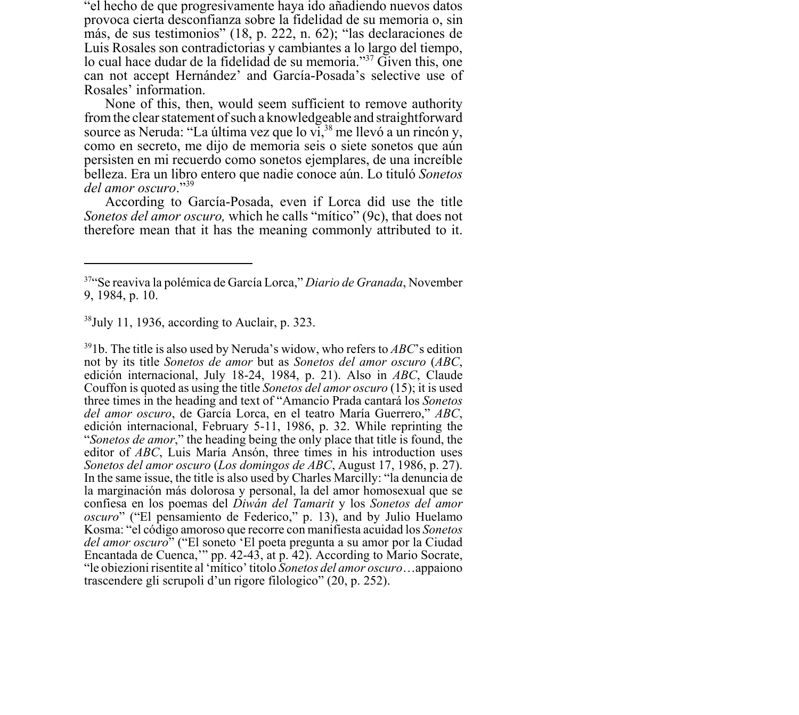"el hecho de que progresivamente haya ido añadiendo nuevos datos provoca cierta desconfianza sobre la fidelidad de su memoria o, sin más, de sus testimonios" (18, p. 222, n. 62); "las declaraciones de Luis Rosales son contradictorias y cambiantes a lo largo del tiempo, lo cual hace dudar de la fidelidad de su memoria."<sup>37</sup> Given this, one can not accept Hernández' and García-Posada's selective use of Rosales' information.

None of this, then, would seem sufficient to remove authority from the clear statement of such a knowledgeable and straightforward source as Neruda: "La última vez que lo  $vi$ ,  $38$  me llevó a un rincón y, como en secreto, me dijo de memoria seis o siete sonetos que aún persisten en mi recuerdo como sonetos ejemplares, de una increíble belleza. Era un libro entero que nadie conoce aún. Lo tituló *Sonetos del amor oscuro*."39

According to García-Posada, even if Lorca did use the title *Sonetos del amor oscuro,* which he calls "mítico" (9c), that does not therefore mean that it has the meaning commonly attributed to it.

 $38$ July 11, 1936, according to Auclair, p. 323.

391b. The title is also used by Neruda's widow, who refers to *ABC*'s edition not by its title *Sonetos de amor* but as *Sonetos del amor oscuro* (*ABC*, edición internacional, July 18-24, 1984, p. 21). Also in *ABC*, Claude Couffon is quoted as using the title *Sonetos del amor oscuro* (15); it is used three times in the heading and text of "Amancio Prada cantará los *Sonetos del amor oscuro*, de García Lorca, en el teatro María Guerrero," *ABC*, edición internacional, February 5-11, 1986, p. 32. While reprinting the "*Sonetos de amor*," the heading being the only place that title is found, the editor of *ABC*, Luis María Ansón, three times in his introduction uses *Sonetos del amor oscuro* (*Los domingos de ABC*, August 17, 1986, p. 27). In the same issue, the title is also used by Charles Marcilly: "la denuncia de la marginación más dolorosa y personal, la del amor homosexual que se confiesa en los poemas del *Diwán del Tamarit* y los *Sonetos del amor oscuro*" ("El pensamiento de Federico," p. 13), and by Julio Huelamo Kosma: "el código amoroso que recorre con manifiesta acuidad los *Sonetos del amor oscuro*" ("El soneto 'El poeta pregunta a su amor por la Ciudad Encantada de Cuenca,'" pp. 42-43, at p. 42). According to Mario Socrate, "le obiezioni risentite al 'mítico' titolo *Sonetos del amor oscuro*…appaiono trascendere gli scrupoli d'un rigore filologico" (20, p. 252).

<sup>37&</sup>quot;Se reaviva la polémica de García Lorca," *Diario de Granada*, November 9, 1984, p. 10.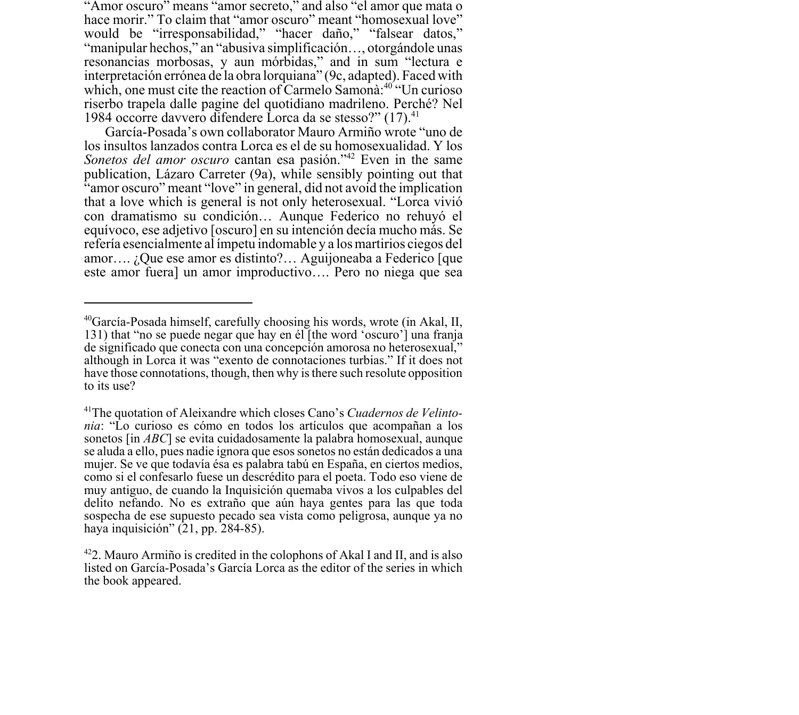"Amor oscuro" means "amor secreto," and also "el amor que mata o hace morir." To claim that "amor oscuro" meant "homosexual love" would be "irresponsabilidad," "hacer daño," "falsear datos," "manipular hechos," an "abusiva simplificación…, otorgándole unas resonancias morbosas, y aun mórbidas," and in sum "lectura e interpretación errónea de la obra lorquiana" (9c, adapted). Faced with which, one must cite the reaction of Carmelo Samona<sup>:40</sup> "Un curioso" riserbo trapela dalle pagine del quotidiano madrileno. Perché? Nel 1984 occorre davvero difendere Lorca da se stesso?" (17).<sup>41</sup>

García-Posada's own collaborator Mauro Armiño wrote "uno de los insultos lanzados contra Lorca es el de su homosexualidad. Y los *Sonetos del amor oscuro* cantan esa pasión."<sup>42</sup> Even in the same publication, Lázaro Carreter (9a), while sensibly pointing out that "amor oscuro" meant "love" in general, did not avoid the implication that a love which is general is not only heterosexual. "Lorca vivió con dramatismo su condición… Aunque Federico no rehuyó el equívoco, ese adjetivo [oscuro] en su intención decía mucho más. Se refería esencialmente al ímpetu indomable y a los martirios ciegos del amor…. ¿Que ese amor es distinto?… Aguijoneaba a Federico [que este amor fuera] un amor improductivo…. Pero no niega que sea

<sup>40</sup>García-Posada himself, carefully choosing his words, wrote (in Akal, II, 131) that "no se puede negar que hay en él [the word 'oscuro'] una franja de significado que conecta con una concepción amorosa no heterosexual," although in Lorca it was "exento de connotaciones turbias." If it does not have those connotations, though, then why is there such resolute opposition to its use?

<sup>41</sup>The quotation of Aleixandre which closes Cano's *Cuadernos de Velintonia*: "Lo curioso es cómo en todos los artículos que acompañan a los sonetos [in *ABC*] se evita cuidadosamente la palabra homosexual, aunque se aluda a ello, pues nadie ignora que esos sonetos no están dedicados a una mujer. Se ve que todavía ésa es palabra tabú en España, en ciertos medios, como si el confesarlo fuese un descrédito para el poeta. Todo eso viene de muy antiguo, de cuando la Inquisición quemaba vivos a los culpables del delito nefando. No es extraño que aún haya gentes para las que toda sospecha de ese supuesto pecado sea vista como peligrosa, aunque ya no haya inquisición" (21, pp. 284-85).

 $422$ . Mauro Armiño is credited in the colophons of Akal I and II, and is also listed on García-Posada's García Lorca as the editor of the series in which the book appeared.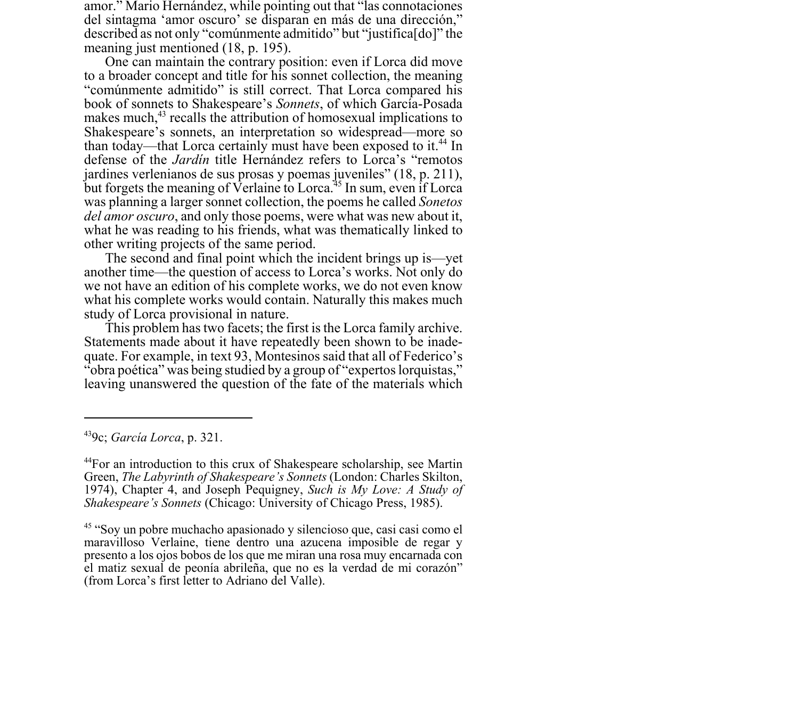amor." Mario Hernández, while pointing out that "las connotaciones del sintagma 'amor oscuro' se disparan en más de una dirección," described as not only "comúnmente admitido" but "justifica[do]" the meaning just mentioned (18, p. 195).

One can maintain the contrary position: even if Lorca did move to a broader concept and title for his sonnet collection, the meaning "comúnmente admitido" is still correct. That Lorca compared his book of sonnets to Shakespeare's *Sonnets*, of which García-Posada makes much,<sup>43</sup> recalls the attribution of homosexual implications to Shakespeare's sonnets, an interpretation so widespread—more so than today—that Lorca certainly must have been exposed to it.<sup>44</sup> In defense of the *Jardín* title Hernández refers to Lorca's "remotos jardines verlenianos de sus prosas y poemas juveniles" (18, p. 211), but forgets the meaning of Verlaine to Lorca.<sup>45</sup> In sum, even if Lorca was planning a larger sonnet collection, the poems he called *Sonetos del amor oscuro*, and only those poems, were what was new about it, what he was reading to his friends, what was thematically linked to other writing projects of the same period.

The second and final point which the incident brings up is—yet another time—the question of access to Lorca's works. Not only do we not have an edition of his complete works, we do not even know what his complete works would contain. Naturally this makes much study of Lorca provisional in nature.

This problem has two facets; the first is the Lorca family archive. Statements made about it have repeatedly been shown to be inadequate. For example, in text 93, Montesinos said that all of Federico's "obra poética" was being studied by a group of "expertos lorquistas," leaving unanswered the question of the fate of the materials which

<sup>439</sup>c; *García Lorca*, p. 321.

<sup>44</sup>For an introduction to this crux of Shakespeare scholarship, see Martin Green, *The Labyrinth of Shakespeare's Sonnets* (London: Charles Skilton, 1974), Chapter 4, and Joseph Pequigney, *Such is My Love: A Study of Shakespeare's Sonnets* (Chicago: University of Chicago Press, 1985).

<sup>45 &</sup>quot;Soy un pobre muchacho apasionado y silencioso que, casi casi como el maravilloso Verlaine, tiene dentro una azucena imposible de regar y presento a los ojos bobos de los que me miran una rosa muy encarnada con el matiz sexual de peonía abrileña, que no es la verdad de mi corazón" (from Lorca's first letter to Adriano del Valle).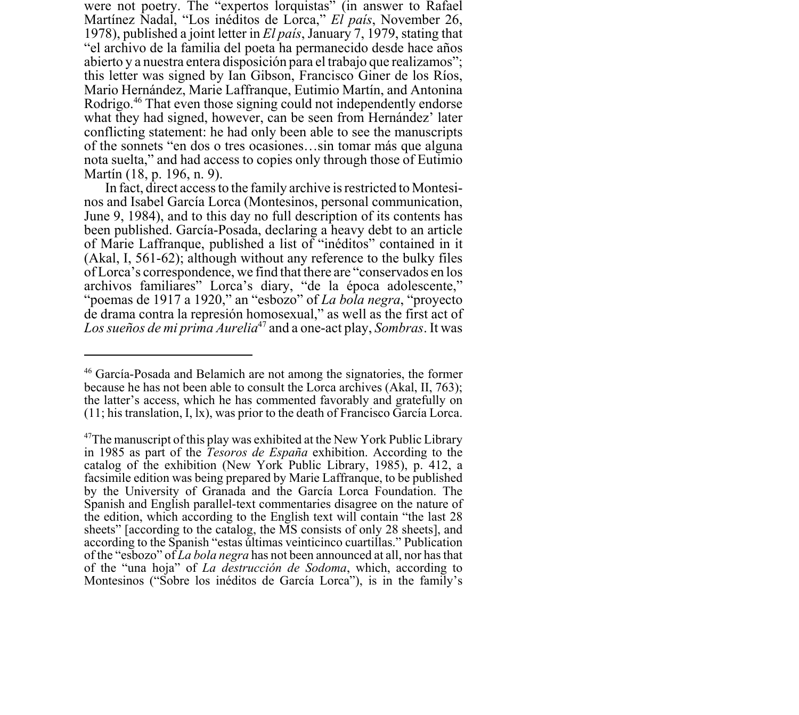were not poetry. The "expertos lorquistas" (in answer to Rafael Martínez Nadal, "Los inéditos de Lorca," *El país*, November 26, 1978), published a joint letter in *El país*, January 7, 1979, stating that "el archivo de la familia del poeta ha permanecido desde hace años abierto y a nuestra entera disposición para el trabajo que realizamos"; this letter was signed by Ian Gibson, Francisco Giner de los Ríos, Mario Hernández, Marie Laffranque, Eutimio Martín, and Antonina Rodrigo.46 That even those signing could not independently endorse what they had signed, however, can be seen from Hernández' later conflicting statement: he had only been able to see the manuscripts of the sonnets "en dos o tres ocasiones…sin tomar más que alguna nota suelta," and had access to copies only through those of Eutimio Martín (18, p. 196, n. 9).

In fact, direct access to the family archive is restricted to Montesinos and Isabel García Lorca (Montesinos, personal communication, June 9, 1984), and to this day no full description of its contents has been published. García-Posada, declaring a heavy debt to an article of Marie Laffranque, published a list of "inéditos" contained in it (Akal, I, 561-62); although without any reference to the bulky files of Lorca's correspondence, we find that there are "conservados en los archivos familiares" Lorca's diary, "de la época adolescente," "poemas de 1917 a 1920," an "esbozo" of *La bola negra*, "proyecto de drama contra la represión homosexual," as well as the first act of *Los sueños de mi prima Aurelia*47 and a one-act play, *Sombras*. It was

<sup>46</sup> García-Posada and Belamich are not among the signatories, the former because he has not been able to consult the Lorca archives (Akal, II, 763); the latter's access, which he has commented favorably and gratefully on (11; his translation, I, lx), was prior to the death of Francisco García Lorca.

<sup>&</sup>lt;sup>47</sup>The manuscript of this play was exhibited at the New York Public Library in 1985 as part of the *Tesoros de España* exhibition. According to the catalog of the exhibition (New York Public Library, 1985), p. 412, a facsimile edition was being prepared by Marie Laffranque, to be published by the University of Granada and the García Lorca Foundation. The Spanish and English parallel-text commentaries disagree on the nature of the edition, which according to the English text will contain "the last 28 sheets" [according to the catalog, the MS consists of only 28 sheets], and according to the Spanish "estas últimas veinticinco cuartillas." Publication of the "esbozo" of *La bola negra* has not been announced at all, nor has that of the "una hoja" of *La destrucción de Sodoma*, which, according to Montesinos ("Sobre los inéditos de García Lorca"), is in the family's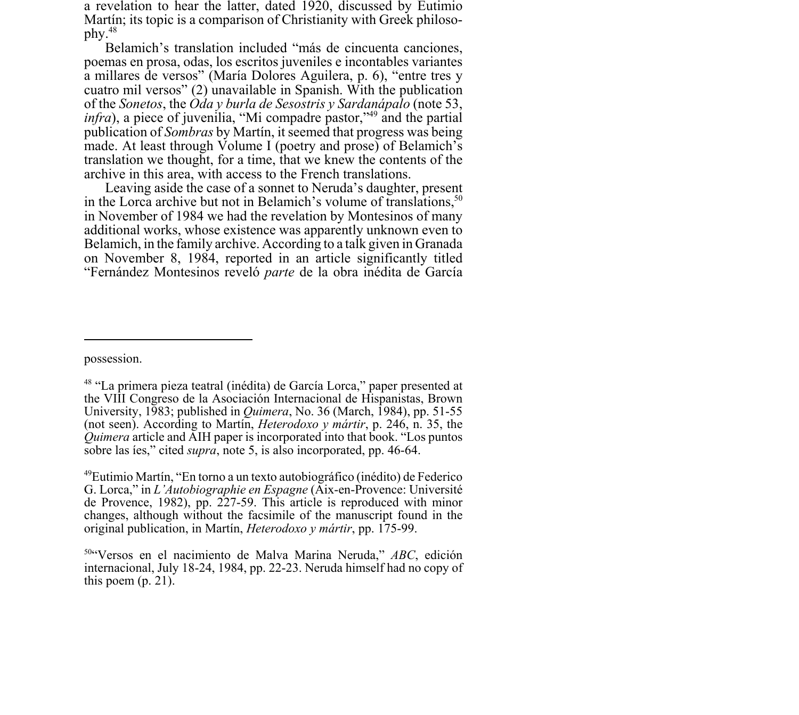a revelation to hear the latter, dated 1920, discussed by Eutimio Martín; its topic is a comparison of Christianity with Greek philosophy.48

Belamich's translation included "más de cincuenta canciones, poemas en prosa, odas, los escritos juveniles e incontables variantes a millares de versos" (María Dolores Aguilera, p. 6), "entre tres y cuatro mil versos" (2) unavailable in Spanish. With the publication of the *Sonetos*, the *Oda y burla de Sesostris y Sardanápalo* (note 53, *infra*), a piece of juvenilia, "Mi compadre pastor,"<sup>49</sup> and the partial publication of *Sombras* by Martín, it seemed that progress was being made. At least through Volume I (poetry and prose) of Belamich's translation we thought, for a time, that we knew the contents of the archive in this area, with access to the French translations.

Leaving aside the case of a sonnet to Neruda's daughter, present in the Lorca archive but not in Belamich's volume of translations, $50$ in November of 1984 we had the revelation by Montesinos of many additional works, whose existence was apparently unknown even to Belamich, in the family archive. According to a talk given in Granada on November 8, 1984, reported in an article significantly titled "Fernández Montesinos reveló *parte* de la obra inédita de García

possession.

<sup>48 &</sup>quot;La primera pieza teatral (inédita) de García Lorca," paper presented at the VIII Congreso de la Asociación Internacional de Hispanistas, Brown University, 1983; published in *Quimera*, No. 36 (March, 1984), pp. 51-55 (not seen). According to Martín, *Heterodoxo y mártir*, p. 246, n. 35, the *Quimera* article and AIH paper is incorporated into that book. "Los puntos" sobre las íes," cited *supra*, note 5, is also incorporated, pp. 46-64.

<sup>49</sup>Eutimio Martín, "En torno a un texto autobiográfico (inédito) de Federico G. Lorca," in *L'Autobiographie en Espagne* (Aix-en-Provence: Université de Provence, 1982), pp. 227-59. This article is reproduced with minor changes, although without the facsimile of the manuscript found in the original publication, in Martín, *Heterodoxo y mártir*, pp. 175-99.

<sup>50&</sup>quot;Versos en el nacimiento de Malva Marina Neruda," *ABC*, edición internacional, July 18-24, 1984, pp. 22-23. Neruda himself had no copy of this poem  $(p. 21)$ .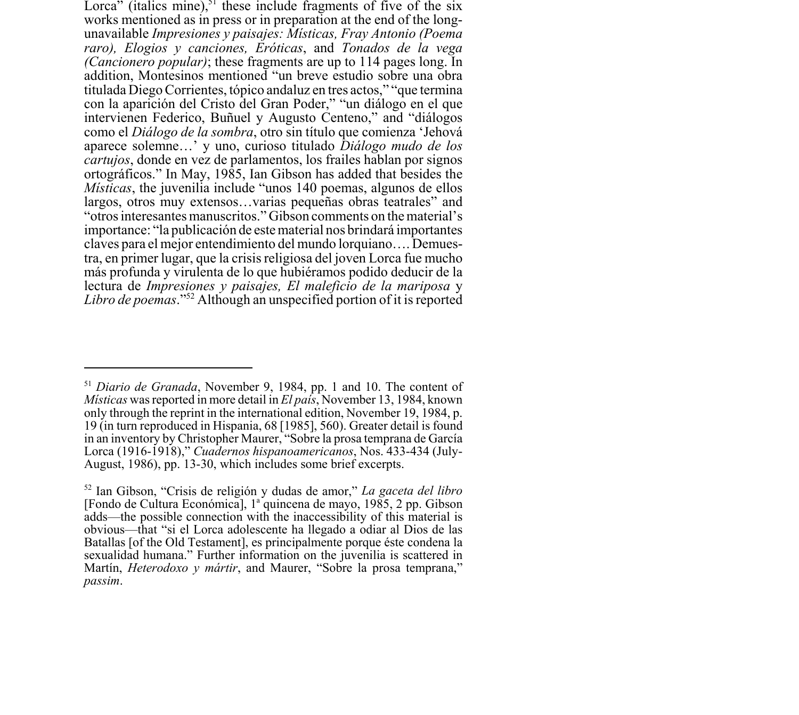Lorca" (italics mine), $51$  these include fragments of five of the six works mentioned as in press or in preparation at the end of the longunavailable *Impresiones y paisajes: Místicas, Fray Antonio (Poema raro), Elogios y canciones, Eróticas*, and *Tonados de la vega (Cancionero popular)*; these fragments are up to 114 pages long. In addition, Montesinos mentioned "un breve estudio sobre una obra titulada Diego Corrientes, tópico andaluz en tres actos," "que termina con la aparición del Cristo del Gran Poder," "un diálogo en el que intervienen Federico, Buñuel y Augusto Centeno," and "diálogos como el *Diálogo de la sombra*, otro sin título que comienza 'Jehová aparece solemne…' y uno, curioso titulado *Diálogo mudo de los cartujos*, donde en vez de parlamentos, los frailes hablan por signos ortográficos." In May, 1985, Ian Gibson has added that besides the *Místicas*, the juvenilia include "unos 140 poemas, algunos de ellos largos, otros muy extensos…varias pequeñas obras teatrales" and "otros interesantes manuscritos." Gibson comments on the material's importance: "la publicación de este material nos brindará importantes claves para el mejor entendimiento del mundo lorquiano…. Demuestra, en primer lugar, que la crisis religiosa del joven Lorca fue mucho más profunda y virulenta de lo que hubiéramos podido deducir de la lectura de *Impresiones y paisajes, El maleficio de la mariposa* y *Libro de poemas*."52 Although an unspecified portion of it is reported

<sup>51</sup> *Diario de Granada*, November 9, 1984, pp. 1 and 10. The content of *Místicas* was reported in more detail in *El país*, November 13, 1984, known only through the reprint in the international edition, November 19, 1984, p. 19 (in turn reproduced in Hispania, 68 [1985], 560). Greater detail is found in an inventory by Christopher Maurer, "Sobre la prosa temprana de García Lorca (1916-1918)," *Cuadernos hispanoamericanos*, Nos. 433-434 (July-August, 1986), pp. 13-30, which includes some brief excerpts.

<sup>52</sup> Ian Gibson, "Crisis de religión y dudas de amor," *La gaceta del libro* [Fondo de Cultura Económica], 1<sup>ª</sup> quincena de mayo, 1985, 2 pp. Gibson adds—the possible connection with the inaccessibility of this material is obvious—that "si el Lorca adolescente ha llegado a odiar al Dios de las Batallas [of the Old Testament], es principalmente porque éste condena la sexualidad humana." Further information on the juvenilia is scattered in Martín, *Heterodoxo y mártir*, and Maurer, "Sobre la prosa temprana," *passim*.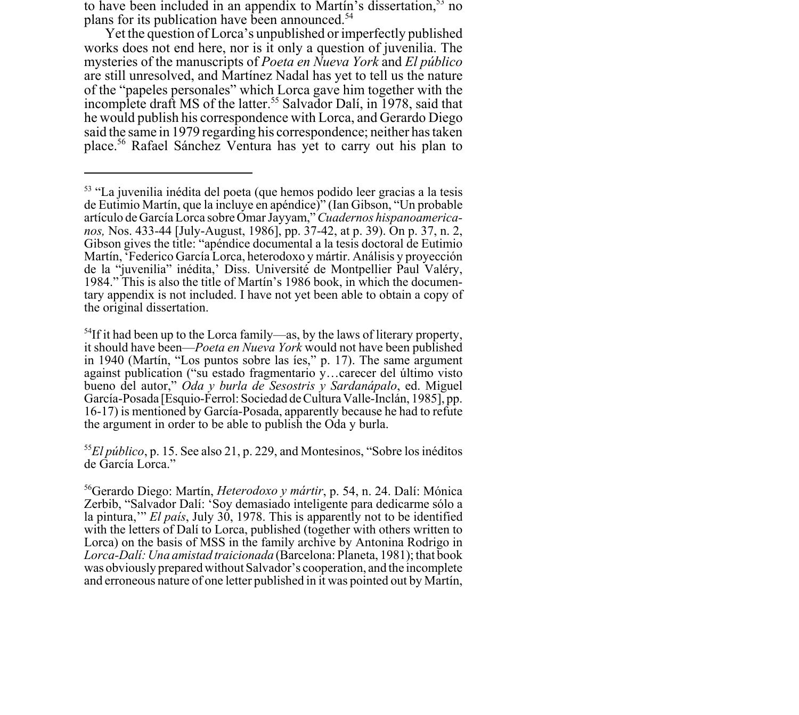to have been included in an appendix to Martín's dissertation,<sup>53</sup> no plans for its publication have been announced.<sup>54</sup>

Yet the question of Lorca's unpublished or imperfectly published works does not end here, nor is it only a question of juvenilia. The mysteries of the manuscripts of *Poeta en Nueva York* and *El público* are still unresolved, and Martínez Nadal has yet to tell us the nature of the "papeles personales" which Lorca gave him together with the incomplete draft MS of the latter.<sup>55</sup> Salvador Dalí, in 1978, said that he would publish his correspondence with Lorca, and Gerardo Diego said the same in 1979 regarding his correspondence; neither has taken place.56 Rafael Sánchez Ventura has yet to carry out his plan to

<sup>53 &</sup>quot;La juvenilia inédita del poeta (que hemos podido leer gracias a la tesis de Eutimio Martín, que la incluye en apéndice)" (Ian Gibson, "Un probable artículo de García Lorca sobre Omar Jayyam," *Cuadernos hispanoamericanos,* Nos. 433-44 [July-August, 1986], pp. 37-42, at p. 39). On p. 37, n. 2, Gibson gives the title: "apéndice documental a la tesis doctoral de Eutimio Martín, 'Federico García Lorca, heterodoxo y mártir. Análisis y proyección de la "juvenilia" inédita,' Diss. Université de Montpellier Paul Valéry, 1984." This is also the title of Martín's 1986 book, in which the documentary appendix is not included. I have not yet been able to obtain a copy of the original dissertation.

 $<sup>54</sup>$ If it had been up to the Lorca family—as, by the laws of literary property,</sup> it should have been—*Poeta en Nueva York* would not have been published in 1940 (Martín, "Los puntos sobre las íes," p. 17). The same argument against publication ("su estado fragmentario y…carecer del último visto bueno del autor," *Oda y burla de Sesostris y Sardanápalo*, ed. Miguel García-Posada [Esquio-Ferrol: Sociedad de Cultura Valle-Inclán, 1985], pp. 16-17) is mentioned by García-Posada, apparently because he had to refute the argument in order to be able to publish the Oda y burla.

<sup>55</sup>*El público*, p. 15. See also 21, p. 229, and Montesinos, "Sobre los inéditos de García Lorca."

<sup>56</sup>Gerardo Diego: Martín, *Heterodoxo y mártir*, p. 54, n. 24. Dalí: Mónica Zerbib, "Salvador Dalí: 'Soy demasiado inteligente para dedicarme sólo a la pintura,'" *El país*, July 30, 1978. This is apparently not to be identified with the letters of Dalí to Lorca, published (together with others written to Lorca) on the basis of MSS in the family archive by Antonina Rodrigo in *Lorca-Dalí: Una amistad traicionada* (Barcelona: Planeta, 1981); that book was obviously prepared without Salvador's cooperation, and the incomplete and erroneous nature of one letter published in it was pointed out by Martín,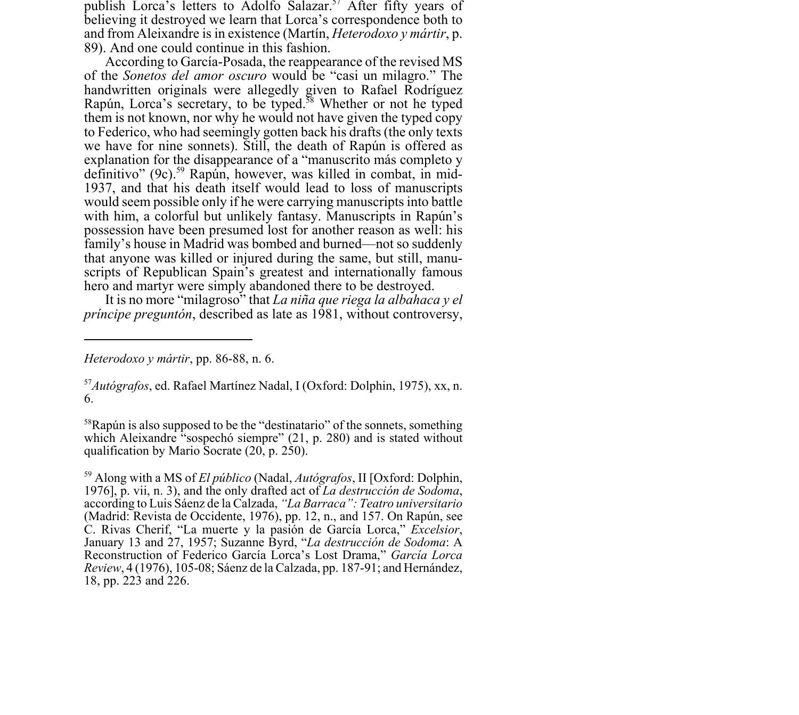publish Lorca's letters to Adolfo Salazar.<sup>57</sup> After fifty years of believing it destroyed we learn that Lorca's correspondence both to and from Aleixandre is in existence (Martín, *Heterodoxo y mártir*, p. 89). And one could continue in this fashion.

According to García-Posada, the reappearance of the revised MS of the *Sonetos del amor oscuro* would be "casi un milagro." The handwritten originals were allegedly given to Rafael Rodríguez Rapún, Lorca's secretary, to be typed.<sup>58</sup> Whether or not he typed them is not known, nor why he would not have given the typed copy to Federico, who had seemingly gotten back his drafts (the only texts we have for nine sonnets). Still, the death of Rapún is offered as explanation for the disappearance of a "manuscrito más completo y definitivo" (9c).<sup>59</sup> Rapún, however, was killed in combat, in mid-1937, and that his death itself would lead to loss of manuscripts would seem possible only if he were carrying manuscripts into battle with him, a colorful but unlikely fantasy. Manuscripts in Rapún's possession have been presumed lost for another reason as well: his family's house in Madrid was bombed and burned—not so suddenly that anyone was killed or injured during the same, but still, manuscripts of Republican Spain's greatest and internationally famous hero and martyr were simply abandoned there to be destroyed.

It is no more "milagroso" that *La niña que riega la albahaca y el príncipe preguntón*, described as late as 1981, without controversy,

*Heterodoxo y mártir*, pp. 86-88, n. 6.

<sup>57</sup>*Autógrafos*, ed. Rafael Martínez Nadal, I (Oxford: Dolphin, 1975), xx, n. 6.

 $58$ Rapún is also supposed to be the "destinatario" of the sonnets, something which Aleixandre "sospechó siempre" (21, p. 280) and is stated without qualification by Mario Socrate (20, p. 250).

<sup>59</sup> Along with a MS of *El público* (Nadal, *Autógrafos*, II [Oxford: Dolphin, 1976], p. vii, n. 3), and the only drafted act of *La destrucción de Sodoma*, according to Luis Sáenz de la Calzada, *"La Barraca": Teatro universitario* (Madrid: Revista de Occidente, 1976), pp. 12, n., and 157. On Rapún, see C. Rivas Cherif, "La muerte y la pasión de García Lorca," *Excelsior*, January 13 and 27, 1957; Suzanne Byrd, "*La destrucción de Sodoma*: A Reconstruction of Federico García Lorca's Lost Drama," *García Lorca Review*, 4 (1976), 105-08; Sáenz de la Calzada, pp. 187-91; and Hernández, 18, pp. 223 and 226.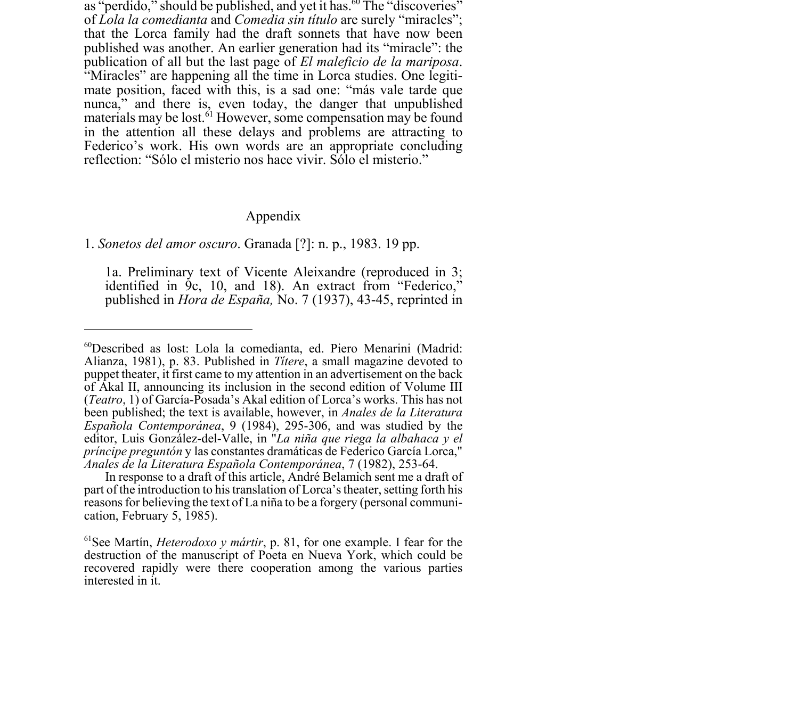as "perdido," should be published, and yet it has.<sup>60</sup> The "discoveries" of *Lola la comedianta* and *Comedia sin título* are surely "miracles"; that the Lorca family had the draft sonnets that have now been published was another. An earlier generation had its "miracle": the publication of all but the last page of *El maleficio de la mariposa*. "Miracles" are happening all the time in Lorca studies. One legitimate position, faced with this, is a sad one: "más vale tarde que nunca," and there is, even today, the danger that unpublished materials may be lost.<sup>61</sup> However, some compensation may be found in the attention all these delays and problems are attracting to Federico's work. His own words are an appropriate concluding reflection: "Sólo el misterio nos hace vivir. Sólo el misterio."

## Appendix

## 1. *Sonetos del amor oscuro*. Granada [?]: n. p., 1983. 19 pp.

1a. Preliminary text of Vicente Aleixandre (reproduced in 3; identified in 9c, 10, and 18). An extract from "Federico," published in *Hora de España,* No. 7 (1937), 43-45, reprinted in

<sup>60</sup>Described as lost: Lola la comedianta, ed. Piero Menarini (Madrid: Alianza, 1981), p. 83. Published in *Títere*, a small magazine devoted to puppet theater, it first came to my attention in an advertisement on the back of Akal II, announcing its inclusion in the second edition of Volume III (*Teatro*, 1) of García-Posada's Akal edition of Lorca's works. This has not been published; the text is available, however, in *Anales de la Literatura Española Contemporánea*, 9 (1984), 295-306, and was studied by the editor, Luis González-del-Valle, in "*La niña que riega la albahaca y el príncipe preguntón* y las constantes dramáticas de Federico García Lorca," *Anales de la Literatura Española Contemporánea*, 7 (1982), 253-64.

In response to a draft of this article, André Belamich sent me a draft of part of the introduction to his translation of Lorca's theater, setting forth his reasons for believing the text of La niña to be a forgery (personal communication, February 5, 1985).

<sup>61</sup>See Martín, *Heterodoxo y mártir*, p. 81, for one example. I fear for the destruction of the manuscript of Poeta en Nueva York, which could be recovered rapidly were there cooperation among the various parties interested in it.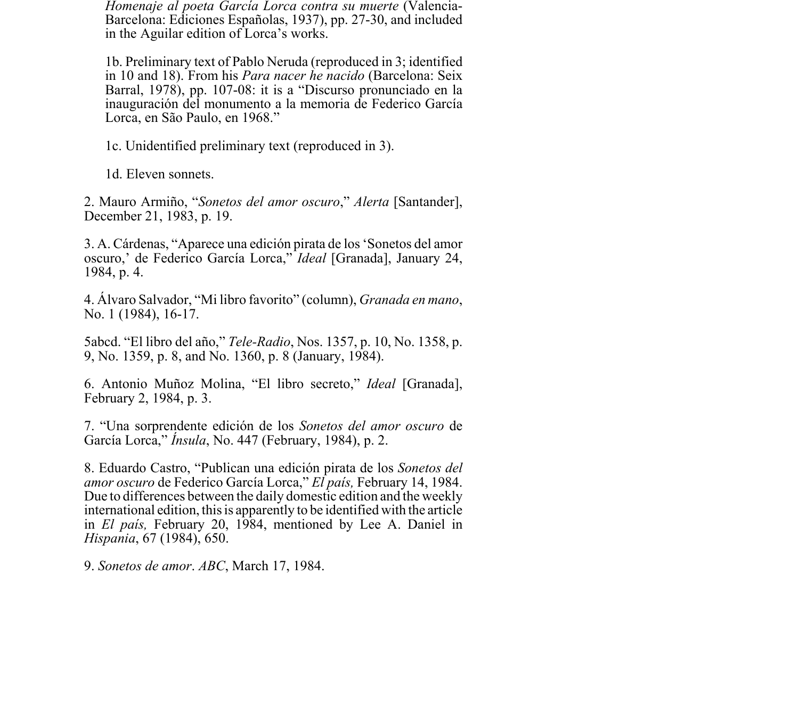*Homenaje al poeta García Lorca contra su muerte* (Valencia-Barcelona: Ediciones Españolas, 1937), pp. 27-30, and included in the Aguilar edition of Lorca's works.

1b. Preliminary text of Pablo Neruda (reproduced in 3; identified in 10 and 18). From his *Para nacer he nacido* (Barcelona: Seix Barral, 1978), pp. 107-08: it is a "Discurso pronunciado en la inauguración del monumento a la memoria de Federico García Lorca, en São Paulo, en 1968."

1c. Unidentified preliminary text (reproduced in 3).

1d. Eleven sonnets.

2. Mauro Armiño, "*Sonetos del amor oscuro*," *Alerta* [Santander], December 21, 1983, p. 19.

3. A. Cárdenas, "Aparece una edición pirata de los 'Sonetos del amor oscuro,' de Federico García Lorca," *Ideal* [Granada], January 24, 1984, p. 4.

4. Álvaro Salvador, "Mi libro favorito" (column), *Granada en mano*, No. 1 (1984), 16-17.

5abcd. "El libro del año," *Tele-Radio*, Nos. 1357, p. 10, No. 1358, p. 9, No. 1359, p. 8, and No. 1360, p. 8 (January, 1984).

6. Antonio Muñoz Molina, "El libro secreto," *Ideal* [Granada], February 2, 1984, p. 3.

7. "Una sorprendente edición de los *Sonetos del amor oscuro* de García Lorca," *Ínsula*, No. 447 (February, 1984), p. 2.

8. Eduardo Castro, "Publican una edición pirata de los *Sonetos del amor oscuro* de Federico García Lorca," *El país,* February 14, 1984. Due to differences between the daily domestic edition and the weekly international edition, this is apparently to be identified with the article in *El país,* February 20, 1984, mentioned by Lee A. Daniel in *Hispania*, 67 (1984), 650.

9. *Sonetos de amor*. *ABC*, March 17, 1984.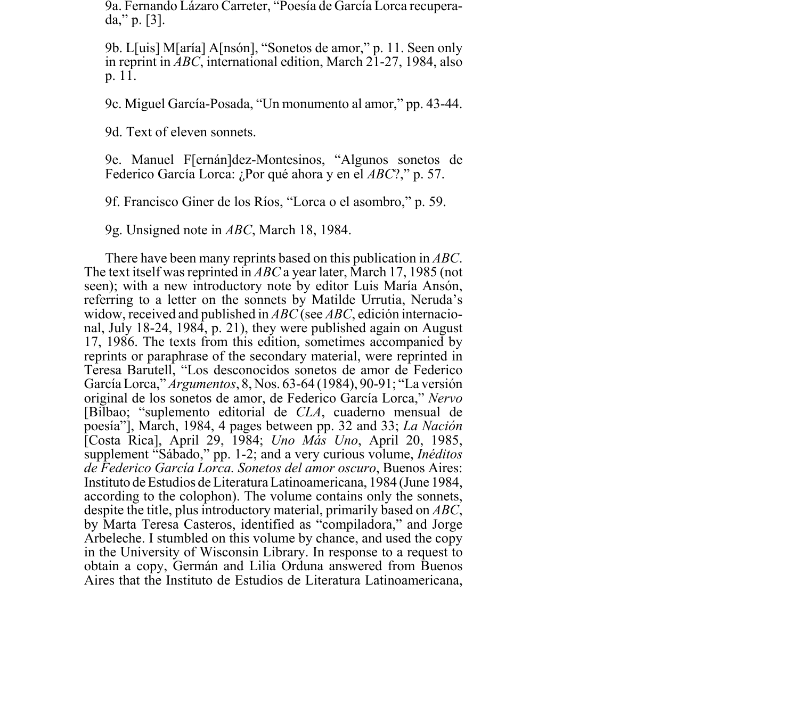9a. Fernando Lázaro Carreter, "Poesía de García Lorca recuperada," p. [3].

9b. L[uis] M[aría] A[nsón], "Sonetos de amor," p. 11. Seen only in reprint in *ABC*, international edition, March 21-27, 1984, also p. 11.

9c. Miguel García-Posada, "Un monumento al amor," pp. 43-44.

9d. Text of eleven sonnets.

9e. Manuel F[ernán]dez-Montesinos, "Algunos sonetos de Federico García Lorca: ¿Por qué ahora y en el *ABC*?," p. 57.

9f. Francisco Giner de los Ríos, "Lorca o el asombro," p. 59.

9g. Unsigned note in *ABC*, March 18, 1984.

There have been many reprints based on this publication in *ABC*. The text itself was reprinted in *ABC* a year later, March 17, 1985 (not seen); with a new introductory note by editor Luis María Ansón, referring to a letter on the sonnets by Matilde Urrutia, Neruda's widow, received and published in *ABC* (see *ABC*, edición internacional, July 18-24, 1984, p. 21), they were published again on August 17, 1986. The texts from this edition, sometimes accompanied by reprints or paraphrase of the secondary material, were reprinted in Teresa Barutell, "Los desconocidos sonetos de amor de Federico García Lorca," *Argumentos*, 8, Nos. 63-64 (1984), 90-91; "La versión original de los sonetos de amor, de Federico García Lorca," *Nervo* [Bilbao; "suplemento editorial de *CLA*, cuaderno mensual de poesía"], March, 1984, 4 pages between pp. 32 and 33; *La Nación* [Costa Rica], April 29, 1984; *Uno Más Uno*, April 20, 1985, supplement "Sábado," pp. 1-2; and a very curious volume, *Inéditos de Federico García Lorca. Sonetos del amor oscuro*, Buenos Aires: Instituto de Estudios de Literatura Latinoamericana, 1984 (June 1984, according to the colophon). The volume contains only the sonnets, despite the title, plus introductory material, primarily based on *ABC*, by Marta Teresa Casteros, identified as "compiladora," and Jorge Arbeleche. I stumbled on this volume by chance, and used the copy in the University of Wisconsin Library. In response to a request to obtain a copy, Germán and Lilia Orduna answered from Buenos Aires that the Instituto de Estudios de Literatura Latinoamericana,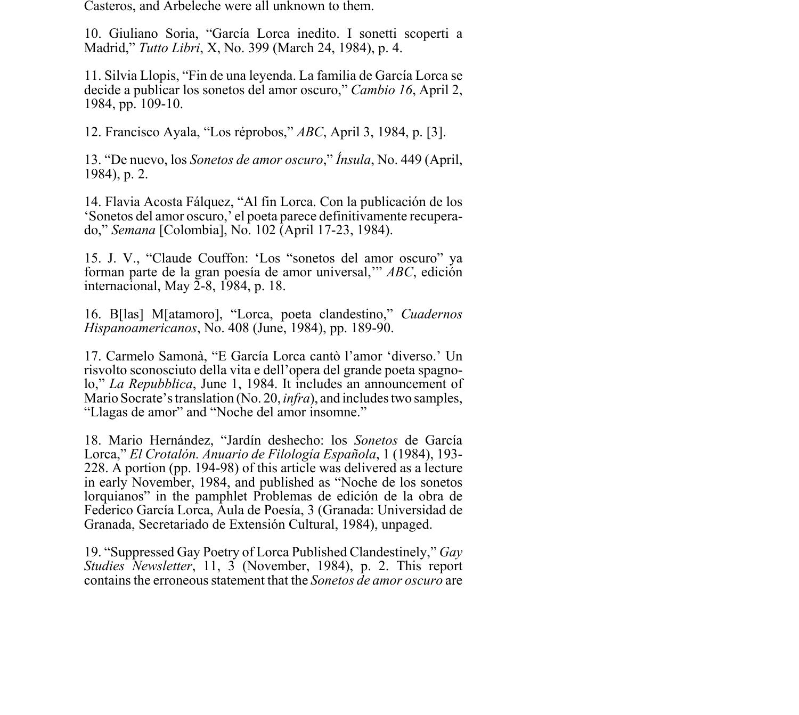Casteros, and Arbeleche were all unknown to them.

10. Giuliano Soria, "García Lorca inedito. I sonetti scoperti a Madrid," *Tutto Libri*, X, No. 399 (March 24, 1984), p. 4.

11. Silvia Llopis, "Fin de una leyenda. La familia de García Lorca se decide a publicar los sonetos del amor oscuro," *Cambio 16*, April 2, 1984, pp. 109-10.

12. Francisco Ayala, "Los réprobos," *ABC*, April 3, 1984, p. [3].

13. "De nuevo, los *Sonetos de amor oscuro*," *Ínsula*, No. 449 (April, 1984), p. 2.

14. Flavia Acosta Fálquez, "Al fin Lorca. Con la publicación de los 'Sonetos del amor oscuro,' el poeta parece definitivamente recuperado," *Semana* [Colombia], No. 102 (April 17-23, 1984).

15. J. V., "Claude Couffon: 'Los "sonetos del amor oscuro" ya forman parte de la gran poesía de amor universal,'" *ABC*, edición internacional, May 2-8, 1984, p. 18.

16. B[las] M[atamoro], "Lorca, poeta clandestino," *Cuadernos Hispanoamericanos*, No. 408 (June, 1984), pp. 189-90.

17. Carmelo Samonà, "E García Lorca cantò l'amor 'diverso.' Un risvolto sconosciuto della vita e dell'opera del grande poeta spagnolo," *La Repubblica*, June 1, 1984. It includes an announcement of Mario Socrate's translation (No. 20, *infra*), and includes two samples, "Llagas de amor" and "Noche del amor insomne."

18. Mario Hernández, "Jardín deshecho: los *Sonetos* de García Lorca," *El Crotalón. Anuario de Filología Española*, 1 (1984), 193- 228. A portion (pp. 194-98) of this article was delivered as a lecture in early November, 1984, and published as "Noche de los sonetos lorquianos" in the pamphlet Problemas de edición de la obra de Federico García Lorca, Aula de Poesía, 3 (Granada: Universidad de Granada, Secretariado de Extensión Cultural, 1984), unpaged.

19. "Suppressed Gay Poetry of Lorca Published Clandestinely," *Gay Studies Newsletter*, 11, 3 (November, 1984), p. 2. This report contains the erroneous statement that the *Sonetos de amor oscuro* are